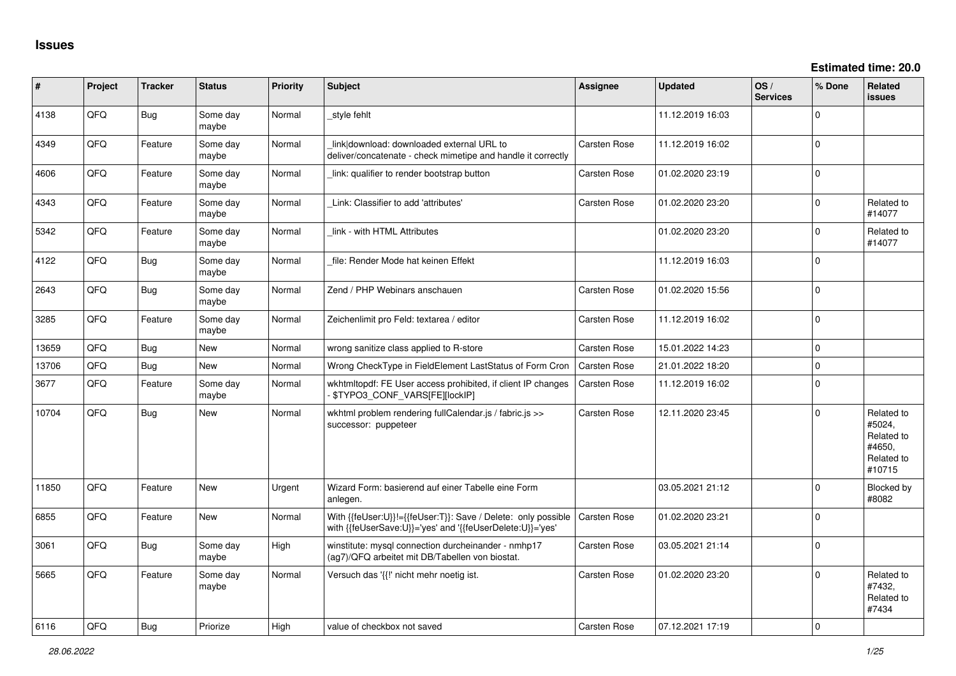| #     | Project | <b>Tracker</b> | <b>Status</b>     | <b>Priority</b> | Subject                                                                                                                    | <b>Assignee</b>     | <b>Updated</b>   | OS/<br><b>Services</b> | % Done       | Related<br>issues                                                    |
|-------|---------|----------------|-------------------|-----------------|----------------------------------------------------------------------------------------------------------------------------|---------------------|------------------|------------------------|--------------|----------------------------------------------------------------------|
| 4138  | QFQ     | Bug            | Some day<br>maybe | Normal          | style fehlt                                                                                                                |                     | 11.12.2019 16:03 |                        | $\mathbf{0}$ |                                                                      |
| 4349  | QFQ     | Feature        | Some day<br>maybe | Normal          | link download: downloaded external URL to<br>deliver/concatenate - check mimetipe and handle it correctly                  | Carsten Rose        | 11.12.2019 16:02 |                        | $\Omega$     |                                                                      |
| 4606  | QFQ     | Feature        | Some day<br>maybe | Normal          | link: qualifier to render bootstrap button                                                                                 | <b>Carsten Rose</b> | 01.02.2020 23:19 |                        | $\Omega$     |                                                                      |
| 4343  | QFQ     | Feature        | Some day<br>maybe | Normal          | Link: Classifier to add 'attributes'                                                                                       | Carsten Rose        | 01.02.2020 23:20 |                        | 0            | Related to<br>#14077                                                 |
| 5342  | QFQ     | Feature        | Some day<br>maybe | Normal          | link - with HTML Attributes                                                                                                |                     | 01.02.2020 23:20 |                        | $\Omega$     | Related to<br>#14077                                                 |
| 4122  | QFQ     | Bug            | Some day<br>maybe | Normal          | file: Render Mode hat keinen Effekt                                                                                        |                     | 11.12.2019 16:03 |                        | $\Omega$     |                                                                      |
| 2643  | QFQ     | Bug            | Some day<br>maybe | Normal          | Zend / PHP Webinars anschauen                                                                                              | <b>Carsten Rose</b> | 01.02.2020 15:56 |                        | 0            |                                                                      |
| 3285  | QFQ     | Feature        | Some day<br>maybe | Normal          | Zeichenlimit pro Feld: textarea / editor                                                                                   | Carsten Rose        | 11.12.2019 16:02 |                        | $\mathbf{0}$ |                                                                      |
| 13659 | QFQ     | Bug            | <b>New</b>        | Normal          | wrong sanitize class applied to R-store                                                                                    | <b>Carsten Rose</b> | 15.01.2022 14:23 |                        | 0            |                                                                      |
| 13706 | QFQ     | Bug            | <b>New</b>        | Normal          | Wrong CheckType in FieldElement LastStatus of Form Cron                                                                    | <b>Carsten Rose</b> | 21.01.2022 18:20 |                        | 0            |                                                                      |
| 3677  | QFQ     | Feature        | Some day<br>maybe | Normal          | wkhtmltopdf: FE User access prohibited, if client IP changes<br>\$TYPO3_CONF_VARS[FE][locklP]                              | <b>Carsten Rose</b> | 11.12.2019 16:02 |                        | $\Omega$     |                                                                      |
| 10704 | QFQ     | Bug            | <b>New</b>        | Normal          | wkhtml problem rendering fullCalendar.js / fabric.js >><br>successor: puppeteer                                            | Carsten Rose        | 12.11.2020 23:45 |                        | 0            | Related to<br>#5024,<br>Related to<br>#4650,<br>Related to<br>#10715 |
| 11850 | QFQ     | Feature        | <b>New</b>        | Urgent          | Wizard Form: basierend auf einer Tabelle eine Form<br>anlegen.                                                             |                     | 03.05.2021 21:12 |                        | $\Omega$     | Blocked by<br>#8082                                                  |
| 6855  | QFQ     | Feature        | New               | Normal          | With {{feUser:U}}!={{feUser:T}}: Save / Delete: only possible<br>with {{feUserSave:U}}='yes' and '{{feUserDelete:U}}='yes' | Carsten Rose        | 01.02.2020 23:21 |                        | 0            |                                                                      |
| 3061  | QFQ     | Bug            | Some day<br>maybe | High            | winstitute: mysgl connection durcheinander - nmhp17<br>(ag7)/QFQ arbeitet mit DB/Tabellen von biostat.                     | <b>Carsten Rose</b> | 03.05.2021 21:14 |                        | $\mathbf{0}$ |                                                                      |
| 5665  | QFQ     | Feature        | Some day<br>maybe | Normal          | Versuch das '{{!' nicht mehr noetig ist.                                                                                   | <b>Carsten Rose</b> | 01.02.2020 23:20 |                        | $\Omega$     | Related to<br>#7432,<br>Related to<br>#7434                          |
| 6116  | OFO     | Bug            | Priorize          | Hiah            | value of checkbox not saved                                                                                                | <b>Carsten Rose</b> | 07.12.2021 17:19 |                        | $\Omega$     |                                                                      |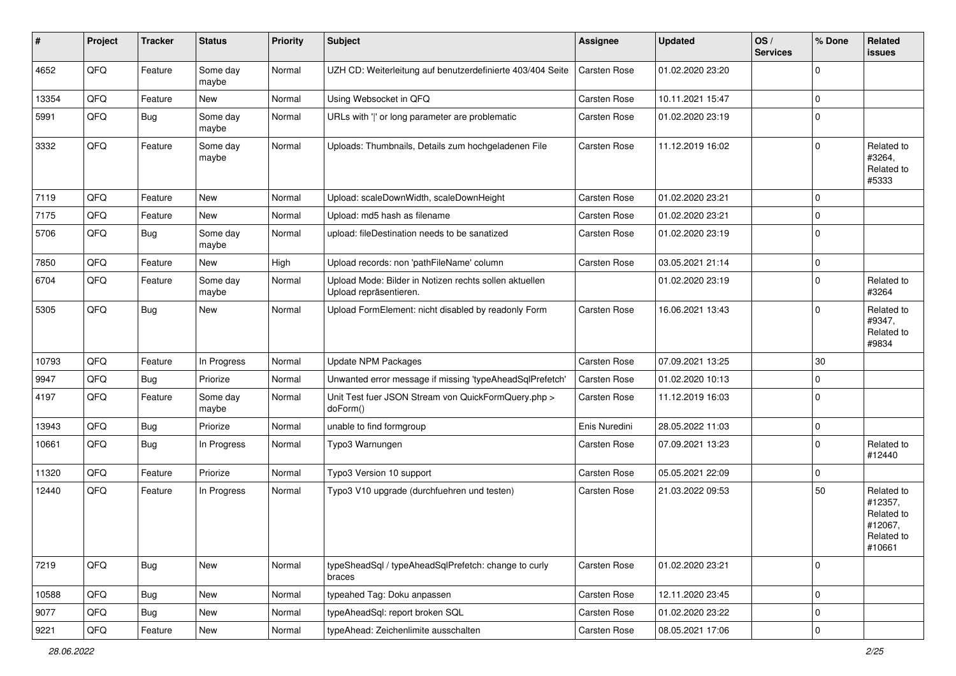| #     | Project | <b>Tracker</b> | <b>Status</b>     | <b>Priority</b> | <b>Subject</b>                                                                   | <b>Assignee</b> | <b>Updated</b>   | OS/<br><b>Services</b> | % Done      | Related<br><b>issues</b>                                               |
|-------|---------|----------------|-------------------|-----------------|----------------------------------------------------------------------------------|-----------------|------------------|------------------------|-------------|------------------------------------------------------------------------|
| 4652  | QFQ     | Feature        | Some day<br>maybe | Normal          | UZH CD: Weiterleitung auf benutzerdefinierte 403/404 Seite                       | Carsten Rose    | 01.02.2020 23:20 |                        | $\Omega$    |                                                                        |
| 13354 | QFQ     | Feature        | New               | Normal          | Using Websocket in QFQ                                                           | Carsten Rose    | 10.11.2021 15:47 |                        | $\mathbf 0$ |                                                                        |
| 5991  | QFQ     | Bug            | Some day<br>maybe | Normal          | URLs with ' ' or long parameter are problematic                                  | Carsten Rose    | 01.02.2020 23:19 |                        | $\Omega$    |                                                                        |
| 3332  | QFQ     | Feature        | Some day<br>maybe | Normal          | Uploads: Thumbnails, Details zum hochgeladenen File                              | Carsten Rose    | 11.12.2019 16:02 |                        | $\Omega$    | Related to<br>#3264,<br>Related to<br>#5333                            |
| 7119  | QFQ     | Feature        | New               | Normal          | Upload: scaleDownWidth, scaleDownHeight                                          | Carsten Rose    | 01.02.2020 23:21 |                        | $\mathbf 0$ |                                                                        |
| 7175  | QFQ     | Feature        | New               | Normal          | Upload: md5 hash as filename                                                     | Carsten Rose    | 01.02.2020 23:21 |                        | 0           |                                                                        |
| 5706  | QFQ     | <b>Bug</b>     | Some day<br>maybe | Normal          | upload: fileDestination needs to be sanatized                                    | Carsten Rose    | 01.02.2020 23:19 |                        | $\mathbf 0$ |                                                                        |
| 7850  | QFQ     | Feature        | New               | High            | Upload records: non 'pathFileName' column                                        | Carsten Rose    | 03.05.2021 21:14 |                        | $\mathbf 0$ |                                                                        |
| 6704  | QFQ     | Feature        | Some day<br>maybe | Normal          | Upload Mode: Bilder in Notizen rechts sollen aktuellen<br>Upload repräsentieren. |                 | 01.02.2020 23:19 |                        | $\Omega$    | Related to<br>#3264                                                    |
| 5305  | QFQ     | Bug            | <b>New</b>        | Normal          | Upload FormElement: nicht disabled by readonly Form                              | Carsten Rose    | 16.06.2021 13:43 |                        | $\Omega$    | Related to<br>#9347,<br>Related to<br>#9834                            |
| 10793 | QFQ     | Feature        | In Progress       | Normal          | <b>Update NPM Packages</b>                                                       | Carsten Rose    | 07.09.2021 13:25 |                        | 30          |                                                                        |
| 9947  | QFQ     | Bug            | Priorize          | Normal          | Unwanted error message if missing 'typeAheadSqlPrefetch'                         | Carsten Rose    | 01.02.2020 10:13 |                        | $\mathbf 0$ |                                                                        |
| 4197  | QFQ     | Feature        | Some day<br>maybe | Normal          | Unit Test fuer JSON Stream von QuickFormQuery.php ><br>doForm()                  | Carsten Rose    | 11.12.2019 16:03 |                        | $\mathbf 0$ |                                                                        |
| 13943 | QFQ     | Bug            | Priorize          | Normal          | unable to find formgroup                                                         | Enis Nuredini   | 28.05.2022 11:03 |                        | $\mathbf 0$ |                                                                        |
| 10661 | QFQ     | Bug            | In Progress       | Normal          | Typo3 Warnungen                                                                  | Carsten Rose    | 07.09.2021 13:23 |                        | $\Omega$    | Related to<br>#12440                                                   |
| 11320 | QFQ     | Feature        | Priorize          | Normal          | Typo3 Version 10 support                                                         | Carsten Rose    | 05.05.2021 22:09 |                        | $\mathbf 0$ |                                                                        |
| 12440 | QFQ     | Feature        | In Progress       | Normal          | Typo3 V10 upgrade (durchfuehren und testen)                                      | Carsten Rose    | 21.03.2022 09:53 |                        | 50          | Related to<br>#12357,<br>Related to<br>#12067,<br>Related to<br>#10661 |
| 7219  | QFG     | Bug            | New               | Normal          | typeSheadSql / typeAheadSqlPrefetch: change to curly<br>braces                   | Carsten Rose    | 01.02.2020 23:21 |                        | $\mathbf 0$ |                                                                        |
| 10588 | QFO     | <b>Bug</b>     | New               | Normal          | typeahed Tag: Doku anpassen                                                      | Carsten Rose    | 12.11.2020 23:45 |                        | $\mathbf 0$ |                                                                        |
| 9077  | QFQ     | <b>Bug</b>     | New               | Normal          | typeAheadSql: report broken SQL                                                  | Carsten Rose    | 01.02.2020 23:22 |                        | 0           |                                                                        |
| 9221  | QFG     | Feature        | New               | Normal          | typeAhead: Zeichenlimite ausschalten                                             | Carsten Rose    | 08.05.2021 17:06 |                        | $\mathbf 0$ |                                                                        |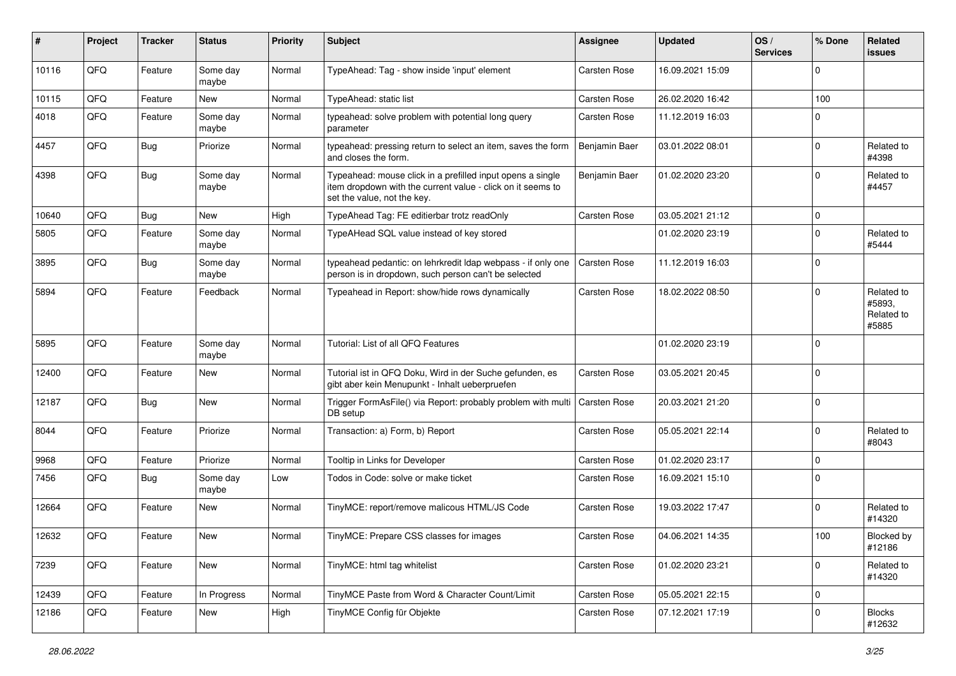| ∦     | Project | <b>Tracker</b> | <b>Status</b>     | <b>Priority</b> | <b>Subject</b>                                                                                                                                           | <b>Assignee</b>     | <b>Updated</b>   | OS/<br><b>Services</b> | % Done      | Related<br><b>issues</b>                    |
|-------|---------|----------------|-------------------|-----------------|----------------------------------------------------------------------------------------------------------------------------------------------------------|---------------------|------------------|------------------------|-------------|---------------------------------------------|
| 10116 | QFQ     | Feature        | Some day<br>maybe | Normal          | TypeAhead: Tag - show inside 'input' element                                                                                                             | Carsten Rose        | 16.09.2021 15:09 |                        | $\Omega$    |                                             |
| 10115 | QFQ     | Feature        | New               | Normal          | TypeAhead: static list                                                                                                                                   | Carsten Rose        | 26.02.2020 16:42 |                        | 100         |                                             |
| 4018  | QFQ     | Feature        | Some day<br>maybe | Normal          | typeahead: solve problem with potential long query<br>parameter                                                                                          | Carsten Rose        | 11.12.2019 16:03 |                        | $\Omega$    |                                             |
| 4457  | QFQ     | Bug            | Priorize          | Normal          | typeahead: pressing return to select an item, saves the form<br>and closes the form.                                                                     | Benjamin Baer       | 03.01.2022 08:01 |                        | $\Omega$    | Related to<br>#4398                         |
| 4398  | QFQ     | Bug            | Some day<br>maybe | Normal          | Typeahead: mouse click in a prefilled input opens a single<br>item dropdown with the current value - click on it seems to<br>set the value, not the key. | Benjamin Baer       | 01.02.2020 23:20 |                        | $\Omega$    | Related to<br>#4457                         |
| 10640 | QFQ     | <b>Bug</b>     | <b>New</b>        | High            | TypeAhead Tag: FE editierbar trotz readOnly                                                                                                              | <b>Carsten Rose</b> | 03.05.2021 21:12 |                        | $\mathbf 0$ |                                             |
| 5805  | QFQ     | Feature        | Some day<br>maybe | Normal          | TypeAHead SQL value instead of key stored                                                                                                                |                     | 01.02.2020 23:19 |                        | $\Omega$    | Related to<br>#5444                         |
| 3895  | QFQ     | Bug            | Some day<br>maybe | Normal          | typeahead pedantic: on lehrkredit Idap webpass - if only one<br>person is in dropdown, such person can't be selected                                     | <b>Carsten Rose</b> | 11.12.2019 16:03 |                        | $\mathbf 0$ |                                             |
| 5894  | QFQ     | Feature        | Feedback          | Normal          | Typeahead in Report: show/hide rows dynamically                                                                                                          | Carsten Rose        | 18.02.2022 08:50 |                        | $\Omega$    | Related to<br>#5893,<br>Related to<br>#5885 |
| 5895  | QFQ     | Feature        | Some day<br>maybe | Normal          | Tutorial: List of all QFQ Features                                                                                                                       |                     | 01.02.2020 23:19 |                        | $\Omega$    |                                             |
| 12400 | QFQ     | Feature        | <b>New</b>        | Normal          | Tutorial ist in QFQ Doku, Wird in der Suche gefunden, es<br>gibt aber kein Menupunkt - Inhalt ueberpruefen                                               | Carsten Rose        | 03.05.2021 20:45 |                        | $\Omega$    |                                             |
| 12187 | QFQ     | <b>Bug</b>     | <b>New</b>        | Normal          | Trigger FormAsFile() via Report: probably problem with multi<br>DB setup                                                                                 | Carsten Rose        | 20.03.2021 21:20 |                        | $\Omega$    |                                             |
| 8044  | QFQ     | Feature        | Priorize          | Normal          | Transaction: a) Form, b) Report                                                                                                                          | Carsten Rose        | 05.05.2021 22:14 |                        | $\Omega$    | Related to<br>#8043                         |
| 9968  | QFQ     | Feature        | Priorize          | Normal          | Tooltip in Links for Developer                                                                                                                           | Carsten Rose        | 01.02.2020 23:17 |                        | $\Omega$    |                                             |
| 7456  | QFQ     | Bug            | Some day<br>maybe | Low             | Todos in Code: solve or make ticket                                                                                                                      | Carsten Rose        | 16.09.2021 15:10 |                        | $\Omega$    |                                             |
| 12664 | QFQ     | Feature        | <b>New</b>        | Normal          | TinyMCE: report/remove malicous HTML/JS Code                                                                                                             | Carsten Rose        | 19.03.2022 17:47 |                        | $\Omega$    | Related to<br>#14320                        |
| 12632 | QFQ     | Feature        | <b>New</b>        | Normal          | TinyMCE: Prepare CSS classes for images                                                                                                                  | <b>Carsten Rose</b> | 04.06.2021 14:35 |                        | 100         | Blocked by<br>#12186                        |
| 7239  | QFG     | Feature        | New               | Normal          | TinyMCE: html tag whitelist                                                                                                                              | Carsten Rose        | 01.02.2020 23:21 |                        | $\Omega$    | Related to<br>#14320                        |
| 12439 | QFQ     | Feature        | In Progress       | Normal          | TinyMCE Paste from Word & Character Count/Limit                                                                                                          | Carsten Rose        | 05.05.2021 22:15 |                        | 0           |                                             |
| 12186 | QFQ     | Feature        | New               | High            | TinyMCE Config für Objekte                                                                                                                               | Carsten Rose        | 07.12.2021 17:19 |                        | 0           | <b>Blocks</b><br>#12632                     |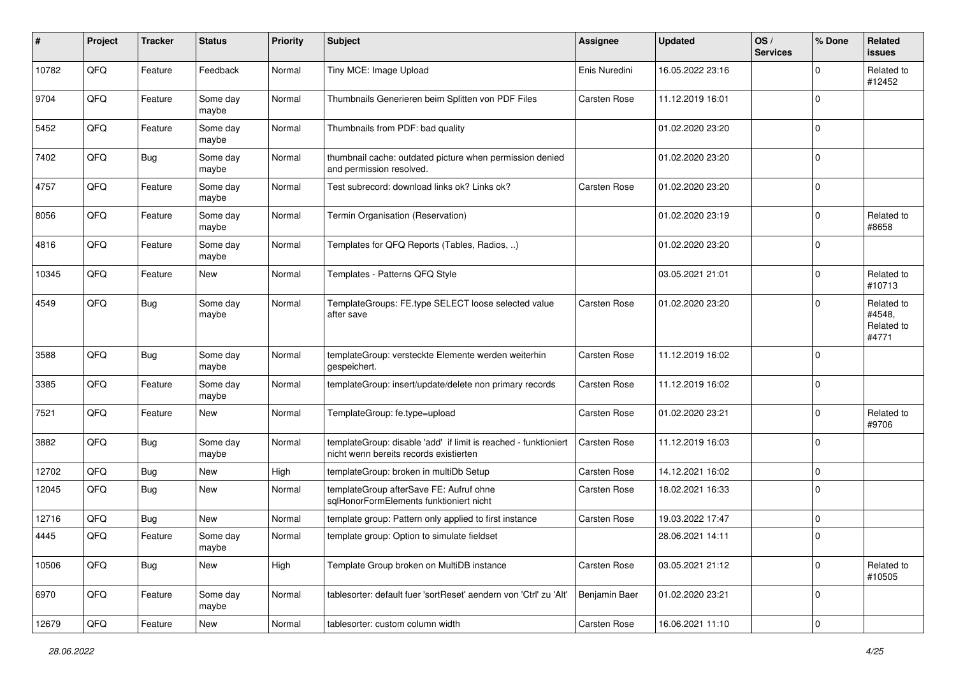| #     | Project | <b>Tracker</b> | <b>Status</b>     | <b>Priority</b> | <b>Subject</b>                                                                                            | <b>Assignee</b> | <b>Updated</b>   | OS/<br><b>Services</b> | % Done      | Related<br>issues                           |
|-------|---------|----------------|-------------------|-----------------|-----------------------------------------------------------------------------------------------------------|-----------------|------------------|------------------------|-------------|---------------------------------------------|
| 10782 | QFQ     | Feature        | Feedback          | Normal          | Tiny MCE: Image Upload                                                                                    | Enis Nuredini   | 16.05.2022 23:16 |                        | 0           | Related to<br>#12452                        |
| 9704  | QFQ     | Feature        | Some day<br>maybe | Normal          | Thumbnails Generieren beim Splitten von PDF Files                                                         | Carsten Rose    | 11.12.2019 16:01 |                        | $\mathbf 0$ |                                             |
| 5452  | QFQ     | Feature        | Some day<br>maybe | Normal          | Thumbnails from PDF: bad quality                                                                          |                 | 01.02.2020 23:20 |                        | $\mathbf 0$ |                                             |
| 7402  | QFQ     | <b>Bug</b>     | Some day<br>maybe | Normal          | thumbnail cache: outdated picture when permission denied<br>and permission resolved.                      |                 | 01.02.2020 23:20 |                        | $\mathbf 0$ |                                             |
| 4757  | QFQ     | Feature        | Some day<br>maybe | Normal          | Test subrecord: download links ok? Links ok?                                                              | Carsten Rose    | 01.02.2020 23:20 |                        | $\mathbf 0$ |                                             |
| 8056  | QFQ     | Feature        | Some day<br>maybe | Normal          | Termin Organisation (Reservation)                                                                         |                 | 01.02.2020 23:19 |                        | $\mathbf 0$ | Related to<br>#8658                         |
| 4816  | QFQ     | Feature        | Some day<br>maybe | Normal          | Templates for QFQ Reports (Tables, Radios, )                                                              |                 | 01.02.2020 23:20 |                        | $\mathbf 0$ |                                             |
| 10345 | QFQ     | Feature        | <b>New</b>        | Normal          | Templates - Patterns QFQ Style                                                                            |                 | 03.05.2021 21:01 |                        | $\mathbf 0$ | Related to<br>#10713                        |
| 4549  | QFQ     | Bug            | Some day<br>maybe | Normal          | TemplateGroups: FE.type SELECT loose selected value<br>after save                                         | Carsten Rose    | 01.02.2020 23:20 |                        | $\mathbf 0$ | Related to<br>#4548,<br>Related to<br>#4771 |
| 3588  | QFQ     | <b>Bug</b>     | Some day<br>maybe | Normal          | templateGroup: versteckte Elemente werden weiterhin<br>gespeichert.                                       | Carsten Rose    | 11.12.2019 16:02 |                        | $\mathbf 0$ |                                             |
| 3385  | QFQ     | Feature        | Some day<br>maybe | Normal          | templateGroup: insert/update/delete non primary records                                                   | Carsten Rose    | 11.12.2019 16:02 |                        | 0           |                                             |
| 7521  | QFQ     | Feature        | New               | Normal          | TemplateGroup: fe.type=upload                                                                             | Carsten Rose    | 01.02.2020 23:21 |                        | $\mathbf 0$ | Related to<br>#9706                         |
| 3882  | QFQ     | Bug            | Some day<br>maybe | Normal          | templateGroup: disable 'add' if limit is reached - funktioniert<br>nicht wenn bereits records existierten | Carsten Rose    | 11.12.2019 16:03 |                        | $\mathbf 0$ |                                             |
| 12702 | QFQ     | <b>Bug</b>     | New               | High            | templateGroup: broken in multiDb Setup                                                                    | Carsten Rose    | 14.12.2021 16:02 |                        | 0           |                                             |
| 12045 | QFQ     | Bug            | New               | Normal          | templateGroup afterSave FE: Aufruf ohne<br>sqlHonorFormElements funktioniert nicht                        | Carsten Rose    | 18.02.2021 16:33 |                        | $\mathbf 0$ |                                             |
| 12716 | QFQ     | Bug            | <b>New</b>        | Normal          | template group: Pattern only applied to first instance                                                    | Carsten Rose    | 19.03.2022 17:47 |                        | 0           |                                             |
| 4445  | QFQ     | Feature        | Some day<br>maybe | Normal          | template group: Option to simulate fieldset                                                               |                 | 28.06.2021 14:11 |                        | $\Omega$    |                                             |
| 10506 | QFQ     | <b>Bug</b>     | New               | High            | Template Group broken on MultiDB instance                                                                 | Carsten Rose    | 03.05.2021 21:12 |                        | 0           | Related to<br>#10505                        |
| 6970  | QFQ     | Feature        | Some day<br>maybe | Normal          | tablesorter: default fuer 'sortReset' aendern von 'Ctrl' zu 'Alt'                                         | Benjamin Baer   | 01.02.2020 23:21 |                        | 0           |                                             |
| 12679 | QFQ     | Feature        | New               | Normal          | tablesorter: custom column width                                                                          | Carsten Rose    | 16.06.2021 11:10 |                        | 0           |                                             |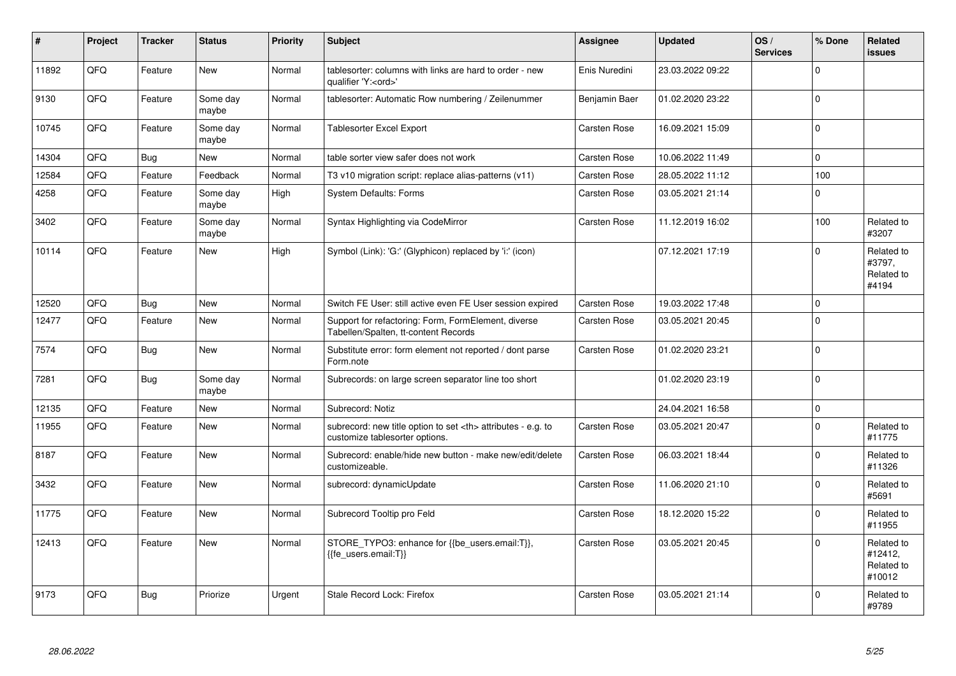| $\vert$ # | Project | <b>Tracker</b> | <b>Status</b>     | <b>Priority</b> | <b>Subject</b>                                                                                       | Assignee                                               | <b>Updated</b>   | OS/<br><b>Services</b> | % Done              | Related<br><b>issues</b>                      |                      |
|-----------|---------|----------------|-------------------|-----------------|------------------------------------------------------------------------------------------------------|--------------------------------------------------------|------------------|------------------------|---------------------|-----------------------------------------------|----------------------|
| 11892     | QFQ     | Feature        | <b>New</b>        | Normal          | tablesorter: columns with links are hard to order - new<br>qualifier 'Y: <ord>'</ord>                | Enis Nuredini                                          | 23.03.2022 09:22 |                        | $\Omega$            |                                               |                      |
| 9130      | QFQ     | Feature        | Some day<br>maybe | Normal          | tablesorter: Automatic Row numbering / Zeilenummer                                                   | Benjamin Baer                                          | 01.02.2020 23:22 |                        | $\Omega$            |                                               |                      |
| 10745     | QFQ     | Feature        | Some day<br>maybe | Normal          | Tablesorter Excel Export                                                                             | Carsten Rose                                           | 16.09.2021 15:09 |                        | $\Omega$            |                                               |                      |
| 14304     | QFQ     | Bug            | New               | Normal          | table sorter view safer does not work                                                                | Carsten Rose                                           | 10.06.2022 11:49 |                        | $\Omega$            |                                               |                      |
| 12584     | QFQ     | Feature        | Feedback          | Normal          | T3 v10 migration script: replace alias-patterns (v11)                                                | Carsten Rose                                           | 28.05.2022 11:12 |                        | 100                 |                                               |                      |
| 4258      | QFQ     | Feature        | Some day<br>maybe | High            | <b>System Defaults: Forms</b>                                                                        | Carsten Rose                                           | 03.05.2021 21:14 |                        | $\Omega$            |                                               |                      |
| 3402      | QFQ     | Feature        | Some day<br>maybe | Normal          | Syntax Highlighting via CodeMirror                                                                   | Carsten Rose                                           | 11.12.2019 16:02 |                        | 100                 | Related to<br>#3207                           |                      |
| 10114     | QFQ     | Feature        | New               | High            | Symbol (Link): 'G:' (Glyphicon) replaced by 'i:' (icon)                                              |                                                        | 07.12.2021 17:19 |                        | $\Omega$            | Related to<br>#3797,<br>Related to<br>#4194   |                      |
| 12520     | QFQ     | Bug            | <b>New</b>        | Normal          | Switch FE User: still active even FE User session expired                                            | Carsten Rose                                           | 19.03.2022 17:48 |                        | 0 I                 |                                               |                      |
| 12477     | QFQ     | Feature        | New               | Normal          | Support for refactoring: Form, FormElement, diverse<br>Tabellen/Spalten, tt-content Records          | Carsten Rose                                           | 03.05.2021 20:45 |                        | $\Omega$            |                                               |                      |
| 7574      | QFQ     | Bug            | New               | Normal          | Substitute error: form element not reported / dont parse<br>Form.note                                | <b>Carsten Rose</b>                                    | 01.02.2020 23:21 |                        | $\Omega$            |                                               |                      |
| 7281      | QFQ     | Bug            | Some day<br>maybe | Normal          | Subrecords: on large screen separator line too short                                                 |                                                        | 01.02.2020 23:19 |                        | $\Omega$            |                                               |                      |
| 12135     | QFQ     | Feature        | New               | Normal          | Subrecord: Notiz                                                                                     |                                                        | 24.04.2021 16:58 |                        | $\mathsf{O}\xspace$ |                                               |                      |
| 11955     | QFQ     | Feature        | New               | Normal          | subrecord: new title option to set <th> attributes - e.g. to<br/>customize tablesorter options.</th> | attributes - e.g. to<br>customize tablesorter options. | Carsten Rose     | 03.05.2021 20:47       |                     | $\Omega$                                      | Related to<br>#11775 |
| 8187      | QFQ     | Feature        | <b>New</b>        | Normal          | Subrecord: enable/hide new button - make new/edit/delete<br>customizeable.                           | <b>Carsten Rose</b>                                    | 06.03.2021 18:44 |                        | $\Omega$            | Related to<br>#11326                          |                      |
| 3432      | QFQ     | Feature        | <b>New</b>        | Normal          | subrecord: dynamicUpdate                                                                             | Carsten Rose                                           | 11.06.2020 21:10 |                        | $\Omega$            | Related to<br>#5691                           |                      |
| 11775     | QFQ     | Feature        | New               | Normal          | Subrecord Tooltip pro Feld                                                                           | Carsten Rose                                           | 18.12.2020 15:22 |                        | $\Omega$            | Related to<br>#11955                          |                      |
| 12413     | QFQ     | Feature        | <b>New</b>        | Normal          | STORE_TYPO3: enhance for {{be_users.email:T}},<br>{{fe users.email:T}}                               | <b>Carsten Rose</b>                                    | 03.05.2021 20:45 |                        | $\Omega$            | Related to<br>#12412,<br>Related to<br>#10012 |                      |
| 9173      | QFQ     | <b>Bug</b>     | Priorize          | Urgent          | Stale Record Lock: Firefox                                                                           | Carsten Rose                                           | 03.05.2021 21:14 |                        | $\Omega$            | Related to<br>#9789                           |                      |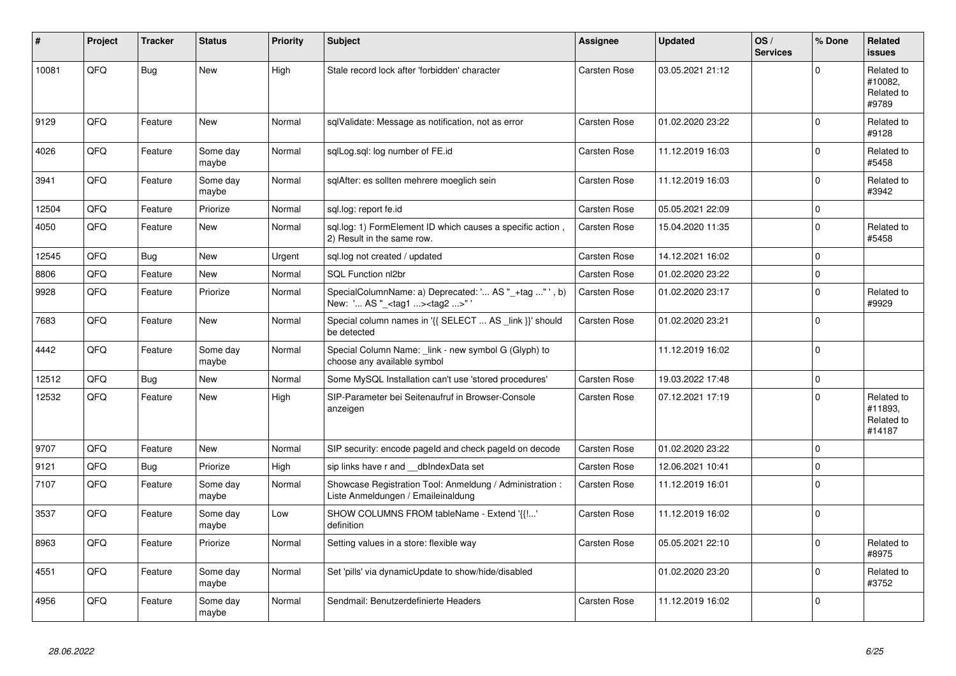| #     | Project | <b>Tracker</b> | <b>Status</b>     | <b>Priority</b> | <b>Subject</b>                                                                                    | <b>Assignee</b>     | <b>Updated</b>   | OS/<br><b>Services</b> | % Done      | <b>Related</b><br><b>issues</b>               |
|-------|---------|----------------|-------------------|-----------------|---------------------------------------------------------------------------------------------------|---------------------|------------------|------------------------|-------------|-----------------------------------------------|
| 10081 | QFQ     | Bug            | <b>New</b>        | High            | Stale record lock after 'forbidden' character                                                     | <b>Carsten Rose</b> | 03.05.2021 21:12 |                        | $\Omega$    | Related to<br>#10082.<br>Related to<br>#9789  |
| 9129  | QFQ     | Feature        | <b>New</b>        | Normal          | sqlValidate: Message as notification, not as error                                                | Carsten Rose        | 01.02.2020 23:22 |                        | $\Omega$    | Related to<br>#9128                           |
| 4026  | QFQ     | Feature        | Some day<br>maybe | Normal          | sglLog.sgl: log number of FE.id                                                                   | Carsten Rose        | 11.12.2019 16:03 |                        | $\Omega$    | Related to<br>#5458                           |
| 3941  | QFQ     | Feature        | Some day<br>maybe | Normal          | sglAfter: es sollten mehrere moeglich sein                                                        | <b>Carsten Rose</b> | 11.12.2019 16:03 |                        | $\Omega$    | Related to<br>#3942                           |
| 12504 | QFQ     | Feature        | Priorize          | Normal          | sgl.log: report fe.id                                                                             | Carsten Rose        | 05.05.2021 22:09 |                        | $\Omega$    |                                               |
| 4050  | QFQ     | Feature        | <b>New</b>        | Normal          | sql.log: 1) FormElement ID which causes a specific action,<br>2) Result in the same row.          | Carsten Rose        | 15.04.2020 11:35 |                        | $\Omega$    | Related to<br>#5458                           |
| 12545 | QFQ     | <b>Bug</b>     | <b>New</b>        | Urgent          | sql.log not created / updated                                                                     | Carsten Rose        | 14.12.2021 16:02 |                        | $\Omega$    |                                               |
| 8806  | QFQ     | Feature        | <b>New</b>        | Normal          | SQL Function nl2br                                                                                | <b>Carsten Rose</b> | 01.02.2020 23:22 |                        | $\mathbf 0$ |                                               |
| 9928  | QFQ     | Feature        | Priorize          | Normal          | SpecialColumnName: a) Deprecated: ' AS "_+tag " ', b)<br>New: ' AS "_ <tag1><tag2>"</tag2></tag1> | Carsten Rose        | 01.02.2020 23:17 |                        | $\Omega$    | Related to<br>#9929                           |
| 7683  | QFQ     | Feature        | New               | Normal          | Special column names in '{{ SELECT  AS _link }}' should<br>be detected                            | Carsten Rose        | 01.02.2020 23:21 |                        | $\Omega$    |                                               |
| 4442  | QFQ     | Feature        | Some day<br>maybe | Normal          | Special Column Name: _link - new symbol G (Glyph) to<br>choose any available symbol               |                     | 11.12.2019 16:02 |                        | $\Omega$    |                                               |
| 12512 | QFQ     | Bug            | New               | Normal          | Some MySQL Installation can't use 'stored procedures'                                             | Carsten Rose        | 19.03.2022 17:48 |                        | $\Omega$    |                                               |
| 12532 | QFQ     | Feature        | <b>New</b>        | High            | SIP-Parameter bei Seitenaufruf in Browser-Console<br>anzeigen                                     | <b>Carsten Rose</b> | 07.12.2021 17:19 |                        | $\Omega$    | Related to<br>#11893,<br>Related to<br>#14187 |
| 9707  | QFQ     | Feature        | New               | Normal          | SIP security: encode pageld and check pageld on decode                                            | Carsten Rose        | 01.02.2020 23:22 |                        | $\Omega$    |                                               |
| 9121  | QFQ     | <b>Bug</b>     | Priorize          | High            | sip links have r and __dbIndexData set                                                            | Carsten Rose        | 12.06.2021 10:41 |                        | $\Omega$    |                                               |
| 7107  | QFQ     | Feature        | Some day<br>maybe | Normal          | Showcase Registration Tool: Anmeldung / Administration :<br>Liste Anmeldungen / Emaileinaldung    | <b>Carsten Rose</b> | 11.12.2019 16:01 |                        | $\mathbf 0$ |                                               |
| 3537  | QFQ     | Feature        | Some day<br>maybe | Low             | SHOW COLUMNS FROM tableName - Extend '{{!'<br>definition                                          | Carsten Rose        | 11.12.2019 16:02 |                        | $\Omega$    |                                               |
| 8963  | QFQ     | Feature        | Priorize          | Normal          | Setting values in a store: flexible way                                                           | <b>Carsten Rose</b> | 05.05.2021 22:10 |                        | $\Omega$    | Related to<br>#8975                           |
| 4551  | QFQ     | Feature        | Some day<br>maybe | Normal          | Set 'pills' via dynamicUpdate to show/hide/disabled                                               |                     | 01.02.2020 23:20 |                        | $\Omega$    | Related to<br>#3752                           |
| 4956  | QFQ     | Feature        | Some day<br>maybe | Normal          | Sendmail: Benutzerdefinierte Headers                                                              | Carsten Rose        | 11.12.2019 16:02 |                        | $\Omega$    |                                               |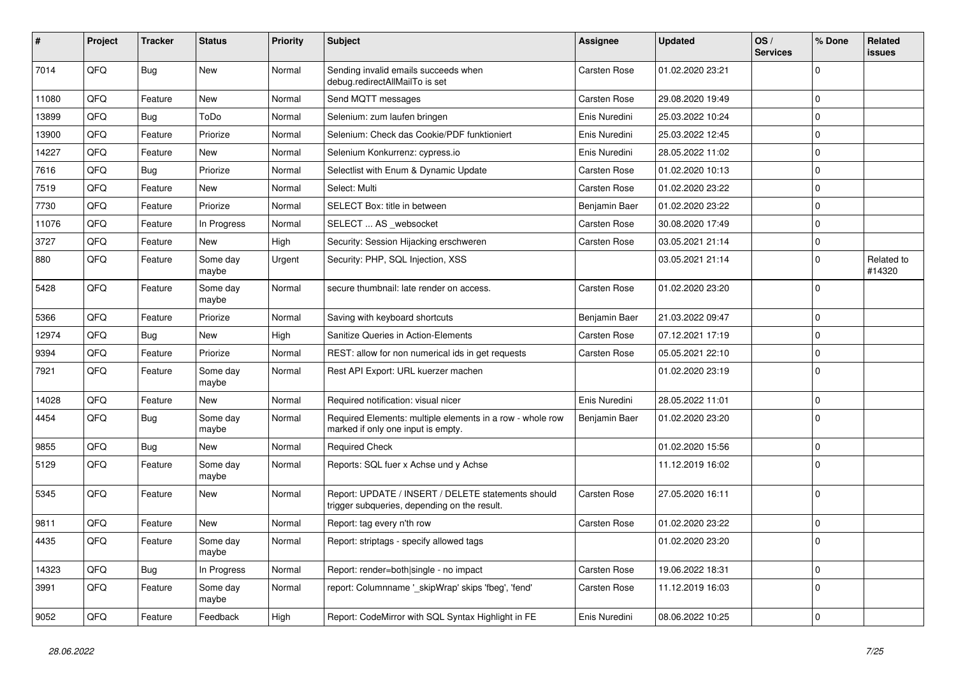| #     | Project | <b>Tracker</b> | <b>Status</b>     | <b>Priority</b> | <b>Subject</b>                                                                                     | Assignee            | <b>Updated</b>   | OS/<br><b>Services</b> | % Done       | Related<br>issues    |
|-------|---------|----------------|-------------------|-----------------|----------------------------------------------------------------------------------------------------|---------------------|------------------|------------------------|--------------|----------------------|
| 7014  | QFQ     | Bug            | <b>New</b>        | Normal          | Sending invalid emails succeeds when<br>debug.redirectAllMailTo is set                             | <b>Carsten Rose</b> | 01.02.2020 23:21 |                        | $\Omega$     |                      |
| 11080 | QFQ     | Feature        | <b>New</b>        | Normal          | Send MQTT messages                                                                                 | Carsten Rose        | 29.08.2020 19:49 |                        | $\mathbf 0$  |                      |
| 13899 | QFQ     | <b>Bug</b>     | ToDo              | Normal          | Selenium: zum laufen bringen                                                                       | Enis Nuredini       | 25.03.2022 10:24 |                        | $\mathbf 0$  |                      |
| 13900 | QFQ     | Feature        | Priorize          | Normal          | Selenium: Check das Cookie/PDF funktioniert                                                        | Enis Nuredini       | 25.03.2022 12:45 |                        | $\mathbf{0}$ |                      |
| 14227 | QFQ     | Feature        | <b>New</b>        | Normal          | Selenium Konkurrenz: cypress.io                                                                    | Enis Nuredini       | 28.05.2022 11:02 |                        | $\mathbf{0}$ |                      |
| 7616  | QFQ     | Bug            | Priorize          | Normal          | Selectlist with Enum & Dynamic Update                                                              | Carsten Rose        | 01.02.2020 10:13 |                        | $\mathbf 0$  |                      |
| 7519  | QFQ     | Feature        | New               | Normal          | Select: Multi                                                                                      | <b>Carsten Rose</b> | 01.02.2020 23:22 |                        | $\mathbf 0$  |                      |
| 7730  | QFQ     | Feature        | Priorize          | Normal          | SELECT Box: title in between                                                                       | Benjamin Baer       | 01.02.2020 23:22 |                        | $\mathbf 0$  |                      |
| 11076 | QFQ     | Feature        | In Progress       | Normal          | SELECT  AS websocket                                                                               | Carsten Rose        | 30.08.2020 17:49 |                        | $\mathbf 0$  |                      |
| 3727  | QFQ     | Feature        | New               | High            | Security: Session Hijacking erschweren                                                             | <b>Carsten Rose</b> | 03.05.2021 21:14 |                        | $\mathbf 0$  |                      |
| 880   | QFQ     | Feature        | Some day<br>maybe | Urgent          | Security: PHP, SQL Injection, XSS                                                                  |                     | 03.05.2021 21:14 |                        | $\mathbf 0$  | Related to<br>#14320 |
| 5428  | QFQ     | Feature        | Some day<br>maybe | Normal          | secure thumbnail: late render on access.                                                           | <b>Carsten Rose</b> | 01.02.2020 23:20 |                        | $\Omega$     |                      |
| 5366  | QFQ     | Feature        | Priorize          | Normal          | Saving with keyboard shortcuts                                                                     | Benjamin Baer       | 21.03.2022 09:47 |                        | $\mathbf 0$  |                      |
| 12974 | QFQ     | <b>Bug</b>     | New               | High            | Sanitize Queries in Action-Elements                                                                | Carsten Rose        | 07.12.2021 17:19 |                        | $\mathbf 0$  |                      |
| 9394  | QFQ     | Feature        | Priorize          | Normal          | REST: allow for non numerical ids in get requests                                                  | <b>Carsten Rose</b> | 05.05.2021 22:10 |                        | $\Omega$     |                      |
| 7921  | QFQ     | Feature        | Some day<br>maybe | Normal          | Rest API Export: URL kuerzer machen                                                                |                     | 01.02.2020 23:19 |                        | $\Omega$     |                      |
| 14028 | QFQ     | Feature        | <b>New</b>        | Normal          | Required notification: visual nicer                                                                | Enis Nuredini       | 28.05.2022 11:01 |                        | $\mathbf 0$  |                      |
| 4454  | QFQ     | Bug            | Some day<br>maybe | Normal          | Required Elements: multiple elements in a row - whole row<br>marked if only one input is empty.    | Benjamin Baer       | 01.02.2020 23:20 |                        | $\Omega$     |                      |
| 9855  | QFQ     | <b>Bug</b>     | <b>New</b>        | Normal          | <b>Required Check</b>                                                                              |                     | 01.02.2020 15:56 |                        | 0            |                      |
| 5129  | QFQ     | Feature        | Some day<br>maybe | Normal          | Reports: SQL fuer x Achse und y Achse                                                              |                     | 11.12.2019 16:02 |                        | $\mathbf 0$  |                      |
| 5345  | QFQ     | Feature        | New               | Normal          | Report: UPDATE / INSERT / DELETE statements should<br>trigger subqueries, depending on the result. | Carsten Rose        | 27.05.2020 16:11 |                        | $\Omega$     |                      |
| 9811  | QFQ     | Feature        | New               | Normal          | Report: tag every n'th row                                                                         | <b>Carsten Rose</b> | 01.02.2020 23:22 |                        | $\mathbf 0$  |                      |
| 4435  | QFQ     | Feature        | Some day<br>maybe | Normal          | Report: striptags - specify allowed tags                                                           |                     | 01.02.2020 23:20 |                        | $\Omega$     |                      |
| 14323 | QFQ     | Bug            | In Progress       | Normal          | Report: render=both single - no impact                                                             | Carsten Rose        | 19.06.2022 18:31 |                        | $\mathbf 0$  |                      |
| 3991  | QFQ     | Feature        | Some day<br>maybe | Normal          | report: Columnname '_skipWrap' skips 'fbeg', 'fend'                                                | Carsten Rose        | 11.12.2019 16:03 |                        | $\Omega$     |                      |
| 9052  | QFQ     | Feature        | Feedback          | High            | Report: CodeMirror with SQL Syntax Highlight in FE                                                 | Enis Nuredini       | 08.06.2022 10:25 |                        | l 0          |                      |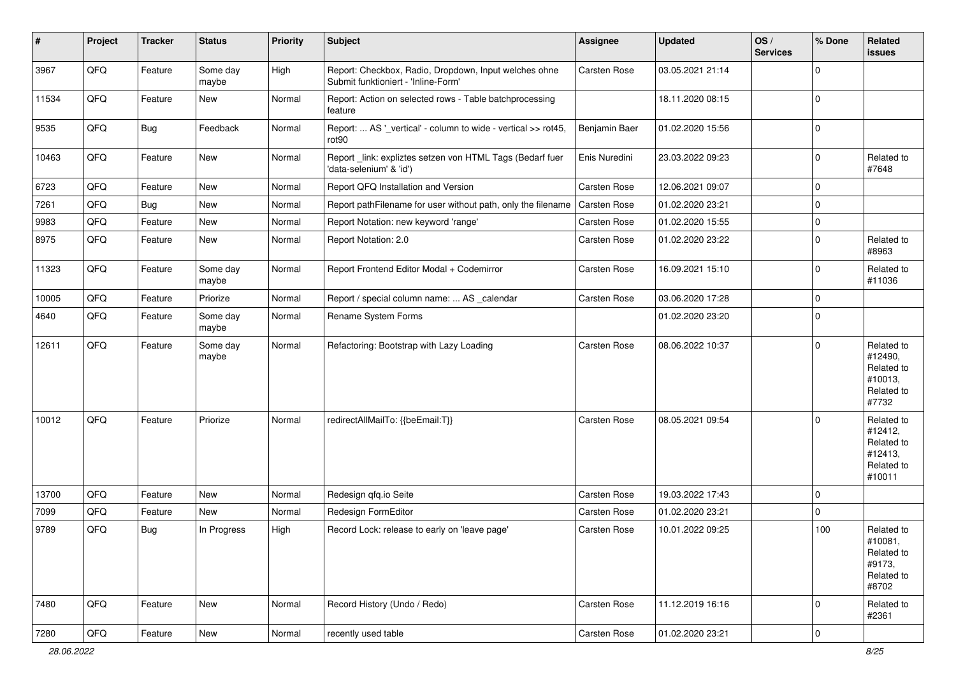| $\vert$ # | Project        | <b>Tracker</b> | <b>Status</b>     | <b>Priority</b> | Subject                                                                                      | <b>Assignee</b> | <b>Updated</b>   | OS/<br><b>Services</b> | % Done         | Related<br>issues                                                      |
|-----------|----------------|----------------|-------------------|-----------------|----------------------------------------------------------------------------------------------|-----------------|------------------|------------------------|----------------|------------------------------------------------------------------------|
| 3967      | QFQ            | Feature        | Some day<br>maybe | High            | Report: Checkbox, Radio, Dropdown, Input welches ohne<br>Submit funktioniert - 'Inline-Form' | Carsten Rose    | 03.05.2021 21:14 |                        | $\mathbf 0$    |                                                                        |
| 11534     | QFQ            | Feature        | New               | Normal          | Report: Action on selected rows - Table batchprocessing<br>feature                           |                 | 18.11.2020 08:15 |                        | $\mathbf 0$    |                                                                        |
| 9535      | QFQ            | <b>Bug</b>     | Feedback          | Normal          | Report:  AS '_vertical' - column to wide - vertical >> rot45,<br>rot90                       | Benjamin Baer   | 01.02.2020 15:56 |                        | $\mathbf 0$    |                                                                        |
| 10463     | QFQ            | Feature        | New               | Normal          | Report_link: expliztes setzen von HTML Tags (Bedarf fuer<br>'data-selenium' & 'id')          | Enis Nuredini   | 23.03.2022 09:23 |                        | $\mathbf 0$    | Related to<br>#7648                                                    |
| 6723      | QFQ            | Feature        | <b>New</b>        | Normal          | Report QFQ Installation and Version                                                          | Carsten Rose    | 12.06.2021 09:07 |                        | $\mathbf 0$    |                                                                        |
| 7261      | QFQ            | Bug            | New               | Normal          | Report pathFilename for user without path, only the filename                                 | Carsten Rose    | 01.02.2020 23:21 |                        | $\mathbf 0$    |                                                                        |
| 9983      | QFQ            | Feature        | New               | Normal          | Report Notation: new keyword 'range'                                                         | Carsten Rose    | 01.02.2020 15:55 |                        | $\mathbf 0$    |                                                                        |
| 8975      | QFQ            | Feature        | New               | Normal          | Report Notation: 2.0                                                                         | Carsten Rose    | 01.02.2020 23:22 |                        | $\mathbf 0$    | Related to<br>#8963                                                    |
| 11323     | QFQ            | Feature        | Some day<br>maybe | Normal          | Report Frontend Editor Modal + Codemirror                                                    | Carsten Rose    | 16.09.2021 15:10 |                        | $\mathbf 0$    | Related to<br>#11036                                                   |
| 10005     | QFQ            | Feature        | Priorize          | Normal          | Report / special column name:  AS _calendar                                                  | Carsten Rose    | 03.06.2020 17:28 |                        | $\mathbf 0$    |                                                                        |
| 4640      | QFQ            | Feature        | Some day<br>maybe | Normal          | Rename System Forms                                                                          |                 | 01.02.2020 23:20 |                        | $\mathbf 0$    |                                                                        |
| 12611     | QFQ            | Feature        | Some day<br>maybe | Normal          | Refactoring: Bootstrap with Lazy Loading                                                     | Carsten Rose    | 08.06.2022 10:37 |                        | $\mathbf 0$    | Related to<br>#12490,<br>Related to<br>#10013,<br>Related to<br>#7732  |
| 10012     | QFQ            | Feature        | Priorize          | Normal          | redirectAllMailTo: {{beEmail:T}}                                                             | Carsten Rose    | 08.05.2021 09:54 |                        | $\mathbf 0$    | Related to<br>#12412,<br>Related to<br>#12413,<br>Related to<br>#10011 |
| 13700     | QFQ            | Feature        | New               | Normal          | Redesign qfq.io Seite                                                                        | Carsten Rose    | 19.03.2022 17:43 |                        | $\mathbf 0$    |                                                                        |
| 7099      | QFQ            | Feature        | <b>New</b>        | Normal          | Redesign FormEditor                                                                          | Carsten Rose    | 01.02.2020 23:21 |                        | $\mathbf 0$    |                                                                        |
| 9789      | QFQ            | <b>Bug</b>     | In Progress       | High            | Record Lock: release to early on 'leave page'                                                | Carsten Rose    | 10.01.2022 09:25 |                        | 100            | Related to<br>#10081,<br>Related to<br>#9173,<br>Related to<br>#8702   |
| 7480      | QFQ            | Feature        | New               | Normal          | Record History (Undo / Redo)                                                                 | Carsten Rose    | 11.12.2019 16:16 |                        | $\mathbf 0$    | Related to<br>#2361                                                    |
| 7280      | $\mathsf{QFQ}$ | Feature        | New               | Normal          | recently used table                                                                          | Carsten Rose    | 01.02.2020 23:21 |                        | $\overline{0}$ |                                                                        |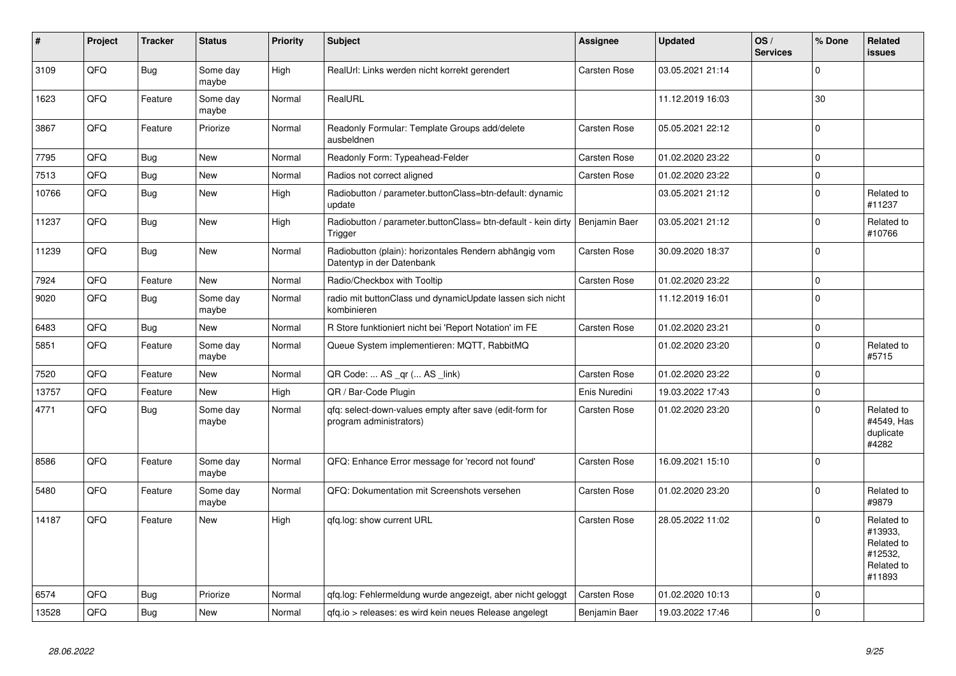| #     | Project | <b>Tracker</b> | <b>Status</b>     | <b>Priority</b> | <b>Subject</b>                                                                      | Assignee            | <b>Updated</b>   | OS/<br><b>Services</b> | % Done         | Related<br>issues                                                      |
|-------|---------|----------------|-------------------|-----------------|-------------------------------------------------------------------------------------|---------------------|------------------|------------------------|----------------|------------------------------------------------------------------------|
| 3109  | QFQ     | Bug            | Some day<br>maybe | High            | RealUrl: Links werden nicht korrekt gerendert                                       | <b>Carsten Rose</b> | 03.05.2021 21:14 |                        | $\Omega$       |                                                                        |
| 1623  | QFQ     | Feature        | Some day<br>maybe | Normal          | RealURL                                                                             |                     | 11.12.2019 16:03 |                        | 30             |                                                                        |
| 3867  | QFQ     | Feature        | Priorize          | Normal          | Readonly Formular: Template Groups add/delete<br>ausbeldnen                         | <b>Carsten Rose</b> | 05.05.2021 22:12 |                        | $\Omega$       |                                                                        |
| 7795  | QFQ     | Bug            | <b>New</b>        | Normal          | Readonly Form: Typeahead-Felder                                                     | Carsten Rose        | 01.02.2020 23:22 |                        | $\mathbf 0$    |                                                                        |
| 7513  | QFQ     | <b>Bug</b>     | <b>New</b>        | Normal          | Radios not correct aligned                                                          | Carsten Rose        | 01.02.2020 23:22 |                        | $\mathbf{0}$   |                                                                        |
| 10766 | QFQ     | Bug            | <b>New</b>        | High            | Radiobutton / parameter.buttonClass=btn-default: dynamic<br>update                  |                     | 03.05.2021 21:12 |                        | $\Omega$       | Related to<br>#11237                                                   |
| 11237 | QFQ     | <b>Bug</b>     | New               | High            | Radiobutton / parameter.buttonClass= btn-default - kein dirty<br>Trigger            | Benjamin Baer       | 03.05.2021 21:12 |                        | $\Omega$       | Related to<br>#10766                                                   |
| 11239 | QFQ     | <b>Bug</b>     | <b>New</b>        | Normal          | Radiobutton (plain): horizontales Rendern abhängig vom<br>Datentyp in der Datenbank | Carsten Rose        | 30.09.2020 18:37 |                        | $\Omega$       |                                                                        |
| 7924  | QFQ     | Feature        | <b>New</b>        | Normal          | Radio/Checkbox with Tooltip                                                         | Carsten Rose        | 01.02.2020 23:22 |                        | $\mathbf 0$    |                                                                        |
| 9020  | QFQ     | Bug            | Some day<br>maybe | Normal          | radio mit buttonClass und dynamicUpdate lassen sich nicht<br>kombinieren            |                     | 11.12.2019 16:01 |                        | $\Omega$       |                                                                        |
| 6483  | QFQ     | <b>Bug</b>     | <b>New</b>        | Normal          | R Store funktioniert nicht bei 'Report Notation' im FE                              | Carsten Rose        | 01.02.2020 23:21 |                        | $\mathbf 0$    |                                                                        |
| 5851  | QFQ     | Feature        | Some day<br>maybe | Normal          | Queue System implementieren: MQTT, RabbitMQ                                         |                     | 01.02.2020 23:20 |                        | $\Omega$       | Related to<br>#5715                                                    |
| 7520  | QFQ     | Feature        | <b>New</b>        | Normal          | QR Code:  AS _qr ( AS _link)                                                        | Carsten Rose        | 01.02.2020 23:22 |                        | $\mathbf 0$    |                                                                        |
| 13757 | QFQ     | Feature        | <b>New</b>        | High            | QR / Bar-Code Plugin                                                                | Enis Nuredini       | 19.03.2022 17:43 |                        | $\overline{0}$ |                                                                        |
| 4771  | QFQ     | Bug            | Some day<br>maybe | Normal          | qfq: select-down-values empty after save (edit-form for<br>program administrators)  | Carsten Rose        | 01.02.2020 23:20 |                        | $\Omega$       | Related to<br>#4549. Has<br>duplicate<br>#4282                         |
| 8586  | QFQ     | Feature        | Some day<br>maybe | Normal          | QFQ: Enhance Error message for 'record not found'                                   | <b>Carsten Rose</b> | 16.09.2021 15:10 |                        | $\Omega$       |                                                                        |
| 5480  | QFQ     | Feature        | Some day<br>maybe | Normal          | QFQ: Dokumentation mit Screenshots versehen                                         | <b>Carsten Rose</b> | 01.02.2020 23:20 |                        | $\Omega$       | Related to<br>#9879                                                    |
| 14187 | QFQ     | Feature        | <b>New</b>        | High            | gfg.log: show current URL                                                           | Carsten Rose        | 28.05.2022 11:02 |                        | $\Omega$       | Related to<br>#13933,<br>Related to<br>#12532,<br>Related to<br>#11893 |
| 6574  | QFQ     | Bug            | Priorize          | Normal          | qfq.log: Fehlermeldung wurde angezeigt, aber nicht geloggt                          | Carsten Rose        | 01.02.2020 10:13 |                        | $\Omega$       |                                                                        |
| 13528 | QFQ     | <b>Bug</b>     | <b>New</b>        | Normal          | qfq.io > releases: es wird kein neues Release angelegt                              | Benjamin Baer       | 19.03.2022 17:46 |                        | $\overline{0}$ |                                                                        |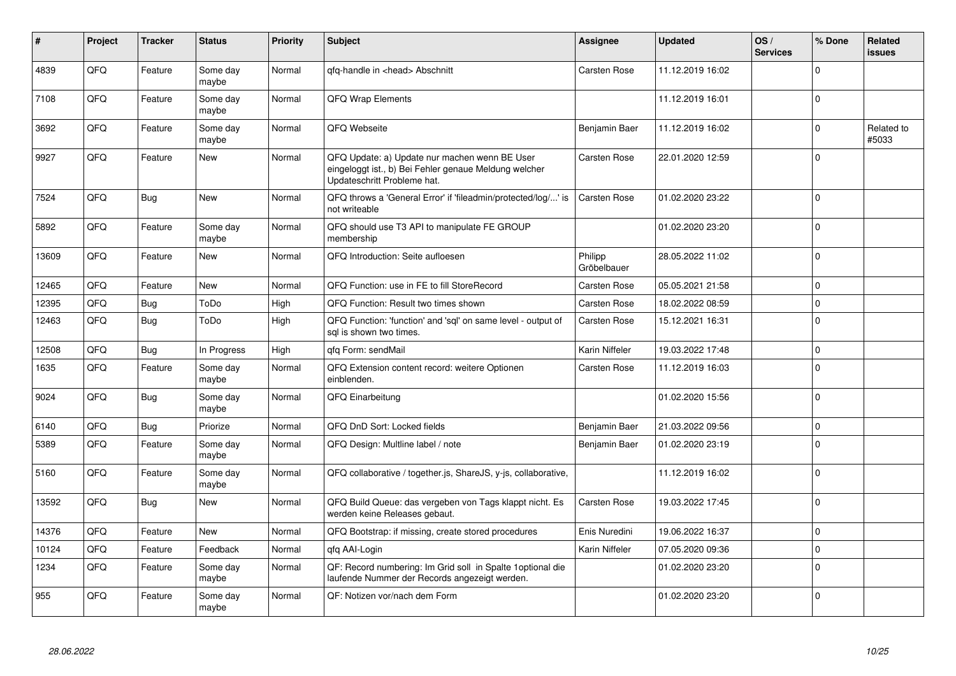| #     | Project    | <b>Tracker</b> | <b>Status</b>     | <b>Priority</b> | <b>Subject</b>                                                                                                                        | Assignee               | <b>Updated</b>   | OS/<br><b>Services</b> | % Done      | Related<br>issues   |
|-------|------------|----------------|-------------------|-----------------|---------------------------------------------------------------------------------------------------------------------------------------|------------------------|------------------|------------------------|-------------|---------------------|
| 4839  | QFQ        | Feature        | Some day<br>maybe | Normal          | qfq-handle in <head> Abschnitt</head>                                                                                                 | Carsten Rose           | 11.12.2019 16:02 |                        | $\Omega$    |                     |
| 7108  | QFQ        | Feature        | Some day<br>maybe | Normal          | <b>QFQ Wrap Elements</b>                                                                                                              |                        | 11.12.2019 16:01 |                        | $\Omega$    |                     |
| 3692  | QFQ        | Feature        | Some day<br>maybe | Normal          | QFQ Webseite                                                                                                                          | Benjamin Baer          | 11.12.2019 16:02 |                        | $\Omega$    | Related to<br>#5033 |
| 9927  | <b>OFO</b> | Feature        | <b>New</b>        | Normal          | QFQ Update: a) Update nur machen wenn BE User<br>eingeloggt ist., b) Bei Fehler genaue Meldung welcher<br>Updateschritt Probleme hat. | Carsten Rose           | 22.01.2020 12:59 |                        | $\Omega$    |                     |
| 7524  | QFQ        | Bug            | <b>New</b>        | Normal          | QFQ throws a 'General Error' if 'fileadmin/protected/log/' is<br>not writeable                                                        | <b>Carsten Rose</b>    | 01.02.2020 23:22 |                        | $\Omega$    |                     |
| 5892  | QFQ        | Feature        | Some day<br>maybe | Normal          | QFQ should use T3 API to manipulate FE GROUP<br>membership                                                                            |                        | 01.02.2020 23:20 |                        | $\Omega$    |                     |
| 13609 | QFQ        | Feature        | <b>New</b>        | Normal          | QFQ Introduction: Seite aufloesen                                                                                                     | Philipp<br>Gröbelbauer | 28.05.2022 11:02 |                        | $\Omega$    |                     |
| 12465 | QFQ        | Feature        | <b>New</b>        | Normal          | QFQ Function: use in FE to fill StoreRecord                                                                                           | Carsten Rose           | 05.05.2021 21:58 |                        | $\mathbf 0$ |                     |
| 12395 | QFQ        | Bug            | ToDo              | High            | QFQ Function: Result two times shown                                                                                                  | <b>Carsten Rose</b>    | 18.02.2022 08:59 |                        | $\Omega$    |                     |
| 12463 | QFQ        | <b>Bug</b>     | ToDo              | High            | QFQ Function: 'function' and 'sql' on same level - output of<br>sal is shown two times.                                               | <b>Carsten Rose</b>    | 15.12.2021 16:31 |                        | $\mathbf 0$ |                     |
| 12508 | QFQ        | <b>Bug</b>     | In Progress       | High            | qfq Form: sendMail                                                                                                                    | Karin Niffeler         | 19.03.2022 17:48 |                        | $\Omega$    |                     |
| 1635  | QFQ        | Feature        | Some day<br>maybe | Normal          | QFQ Extension content record: weitere Optionen<br>einblenden.                                                                         | Carsten Rose           | 11.12.2019 16:03 |                        | $\Omega$    |                     |
| 9024  | QFQ        | Bug            | Some day<br>maybe | Normal          | QFQ Einarbeitung                                                                                                                      |                        | 01.02.2020 15:56 |                        | $\Omega$    |                     |
| 6140  | QFQ        | <b>Bug</b>     | Priorize          | Normal          | QFQ DnD Sort: Locked fields                                                                                                           | Benjamin Baer          | 21.03.2022 09:56 |                        | $\mathbf 0$ |                     |
| 5389  | QFQ        | Feature        | Some day<br>maybe | Normal          | QFQ Design: Multline label / note                                                                                                     | Benjamin Baer          | 01.02.2020 23:19 |                        | $\Omega$    |                     |
| 5160  | QFQ        | Feature        | Some day<br>maybe | Normal          | QFQ collaborative / together.js, ShareJS, y-js, collaborative,                                                                        |                        | 11.12.2019 16:02 |                        | $\Omega$    |                     |
| 13592 | QFQ        | Bug            | <b>New</b>        | Normal          | QFQ Build Queue: das vergeben von Tags klappt nicht. Es<br>werden keine Releases gebaut.                                              | Carsten Rose           | 19.03.2022 17:45 |                        | $\Omega$    |                     |
| 14376 | QFQ        | Feature        | <b>New</b>        | Normal          | QFQ Bootstrap: if missing, create stored procedures                                                                                   | Enis Nuredini          | 19.06.2022 16:37 |                        | $\Omega$    |                     |
| 10124 | QFQ        | Feature        | Feedback          | Normal          | gfg AAI-Login                                                                                                                         | Karin Niffeler         | 07.05.2020 09:36 |                        | $\Omega$    |                     |
| 1234  | QFQ        | Feature        | Some day<br>maybe | Normal          | QF: Record numbering: Im Grid soll in Spalte 1 optional die<br>laufende Nummer der Records angezeigt werden.                          |                        | 01.02.2020 23:20 |                        | $\Omega$    |                     |
| 955   | QFQ        | Feature        | Some day<br>maybe | Normal          | QF: Notizen vor/nach dem Form                                                                                                         |                        | 01.02.2020 23:20 |                        | $\Omega$    |                     |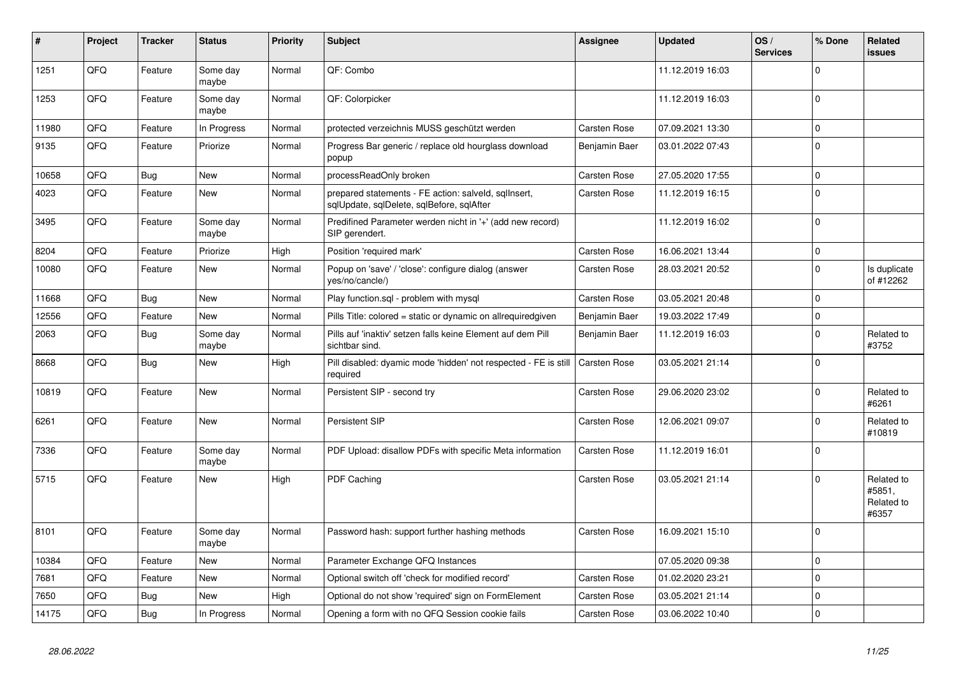| #     | Project | <b>Tracker</b> | <b>Status</b>     | <b>Priority</b> | <b>Subject</b>                                                                                    | Assignee            | <b>Updated</b>   | OS/<br><b>Services</b> | % Done       | Related<br><b>issues</b>                    |
|-------|---------|----------------|-------------------|-----------------|---------------------------------------------------------------------------------------------------|---------------------|------------------|------------------------|--------------|---------------------------------------------|
| 1251  | QFQ     | Feature        | Some day<br>maybe | Normal          | QF: Combo                                                                                         |                     | 11.12.2019 16:03 |                        | $\Omega$     |                                             |
| 1253  | QFQ     | Feature        | Some day<br>maybe | Normal          | QF: Colorpicker                                                                                   |                     | 11.12.2019 16:03 |                        | $\mathbf 0$  |                                             |
| 11980 | QFQ     | Feature        | In Progress       | Normal          | protected verzeichnis MUSS geschützt werden                                                       | Carsten Rose        | 07.09.2021 13:30 |                        | $\mathbf 0$  |                                             |
| 9135  | QFQ     | Feature        | Priorize          | Normal          | Progress Bar generic / replace old hourglass download<br>popup                                    | Benjamin Baer       | 03.01.2022 07:43 |                        | $\mathbf 0$  |                                             |
| 10658 | QFQ     | <b>Bug</b>     | New               | Normal          | processReadOnly broken                                                                            | Carsten Rose        | 27.05.2020 17:55 |                        | $\mathbf 0$  |                                             |
| 4023  | QFQ     | Feature        | New               | Normal          | prepared statements - FE action: salveld, sqlInsert,<br>sqlUpdate, sqlDelete, sqlBefore, sqlAfter | Carsten Rose        | 11.12.2019 16:15 |                        | $\Omega$     |                                             |
| 3495  | QFQ     | Feature        | Some day<br>maybe | Normal          | Predifined Parameter werden nicht in '+' (add new record)<br>SIP gerendert.                       |                     | 11.12.2019 16:02 |                        | $\Omega$     |                                             |
| 8204  | QFQ     | Feature        | Priorize          | High            | Position 'required mark'                                                                          | Carsten Rose        | 16.06.2021 13:44 |                        | $\Omega$     |                                             |
| 10080 | QFQ     | Feature        | <b>New</b>        | Normal          | Popup on 'save' / 'close': configure dialog (answer<br>yes/no/cancle/)                            | Carsten Rose        | 28.03.2021 20:52 |                        | $\Omega$     | Is duplicate<br>of #12262                   |
| 11668 | QFQ     | Bug            | <b>New</b>        | Normal          | Play function.sql - problem with mysql                                                            | Carsten Rose        | 03.05.2021 20:48 |                        | $\mathbf 0$  |                                             |
| 12556 | QFQ     | Feature        | <b>New</b>        | Normal          | Pills Title: colored = static or dynamic on allrequiredgiven                                      | Benjamin Baer       | 19.03.2022 17:49 |                        | $\Omega$     |                                             |
| 2063  | QFQ     | <b>Bug</b>     | Some day<br>maybe | Normal          | Pills auf 'inaktiv' setzen falls keine Element auf dem Pill<br>sichtbar sind.                     | Benjamin Baer       | 11.12.2019 16:03 |                        | $\mathbf{0}$ | Related to<br>#3752                         |
| 8668  | QFQ     | <b>Bug</b>     | <b>New</b>        | High            | Pill disabled: dyamic mode 'hidden' not respected - FE is still<br>required                       | <b>Carsten Rose</b> | 03.05.2021 21:14 |                        | $\Omega$     |                                             |
| 10819 | QFQ     | Feature        | New               | Normal          | Persistent SIP - second try                                                                       | Carsten Rose        | 29.06.2020 23:02 |                        | $\mathbf 0$  | Related to<br>#6261                         |
| 6261  | QFQ     | Feature        | New               | Normal          | Persistent SIP                                                                                    | Carsten Rose        | 12.06.2021 09:07 |                        | $\Omega$     | Related to<br>#10819                        |
| 7336  | QFQ     | Feature        | Some day<br>maybe | Normal          | PDF Upload: disallow PDFs with specific Meta information                                          | <b>Carsten Rose</b> | 11.12.2019 16:01 |                        | $\Omega$     |                                             |
| 5715  | QFQ     | Feature        | New               | High            | PDF Caching                                                                                       | Carsten Rose        | 03.05.2021 21:14 |                        | $\Omega$     | Related to<br>#5851,<br>Related to<br>#6357 |
| 8101  | QFQ     | Feature        | Some day<br>maybe | Normal          | Password hash: support further hashing methods                                                    | Carsten Rose        | 16.09.2021 15:10 |                        | $\Omega$     |                                             |
| 10384 | QFQ     | Feature        | New               | Normal          | Parameter Exchange QFQ Instances                                                                  |                     | 07.05.2020 09:38 |                        | $\mathbf 0$  |                                             |
| 7681  | QFQ     | Feature        | New               | Normal          | Optional switch off 'check for modified record'                                                   | <b>Carsten Rose</b> | 01.02.2020 23:21 |                        | $\mathbf 0$  |                                             |
| 7650  | QFQ     | Bug            | <b>New</b>        | High            | Optional do not show 'required' sign on FormElement                                               | <b>Carsten Rose</b> | 03.05.2021 21:14 |                        | $\Omega$     |                                             |
| 14175 | QFQ     | Bug            | In Progress       | Normal          | Opening a form with no QFQ Session cookie fails                                                   | Carsten Rose        | 03.06.2022 10:40 |                        | $\Omega$     |                                             |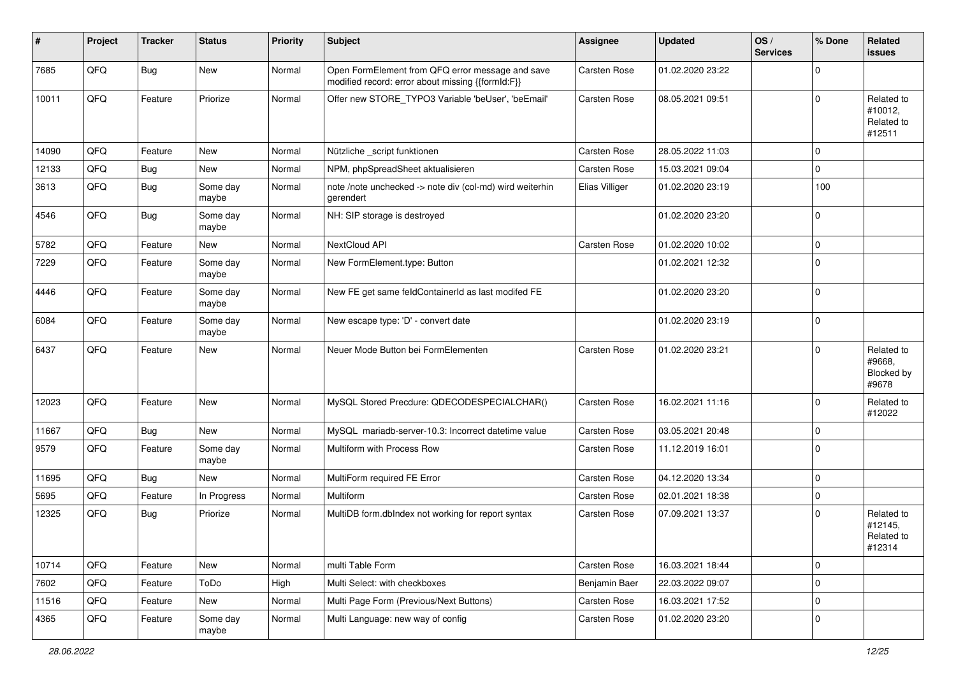| #     | Project | <b>Tracker</b> | <b>Status</b>     | <b>Priority</b> | <b>Subject</b>                                                                                        | Assignee       | <b>Updated</b>   | OS/<br><b>Services</b> | % Done              | Related<br>issues                             |
|-------|---------|----------------|-------------------|-----------------|-------------------------------------------------------------------------------------------------------|----------------|------------------|------------------------|---------------------|-----------------------------------------------|
| 7685  | QFQ     | <b>Bug</b>     | New               | Normal          | Open FormElement from QFQ error message and save<br>modified record: error about missing {{formId:F}} | Carsten Rose   | 01.02.2020 23:22 |                        | $\mathbf 0$         |                                               |
| 10011 | QFQ     | Feature        | Priorize          | Normal          | Offer new STORE_TYPO3 Variable 'beUser', 'beEmail'                                                    | Carsten Rose   | 08.05.2021 09:51 |                        | $\mathbf 0$         | Related to<br>#10012,<br>Related to<br>#12511 |
| 14090 | QFQ     | Feature        | <b>New</b>        | Normal          | Nützliche _script funktionen                                                                          | Carsten Rose   | 28.05.2022 11:03 |                        | $\mathbf 0$         |                                               |
| 12133 | QFQ     | <b>Bug</b>     | New               | Normal          | NPM, phpSpreadSheet aktualisieren                                                                     | Carsten Rose   | 15.03.2021 09:04 |                        | $\mathbf 0$         |                                               |
| 3613  | QFQ     | Bug            | Some day<br>maybe | Normal          | note /note unchecked -> note div (col-md) wird weiterhin<br>gerendert                                 | Elias Villiger | 01.02.2020 23:19 |                        | 100                 |                                               |
| 4546  | QFQ     | <b>Bug</b>     | Some day<br>maybe | Normal          | NH: SIP storage is destroyed                                                                          |                | 01.02.2020 23:20 |                        | $\mathbf 0$         |                                               |
| 5782  | QFQ     | Feature        | New               | Normal          | NextCloud API                                                                                         | Carsten Rose   | 01.02.2020 10:02 |                        | $\mathbf{0}$        |                                               |
| 7229  | QFQ     | Feature        | Some day<br>maybe | Normal          | New FormElement.type: Button                                                                          |                | 01.02.2021 12:32 |                        | $\mathbf 0$         |                                               |
| 4446  | QFQ     | Feature        | Some day<br>maybe | Normal          | New FE get same feldContainerId as last modifed FE                                                    |                | 01.02.2020 23:20 |                        | $\mathbf 0$         |                                               |
| 6084  | QFQ     | Feature        | Some day<br>maybe | Normal          | New escape type: 'D' - convert date                                                                   |                | 01.02.2020 23:19 |                        | $\mathbf 0$         |                                               |
| 6437  | QFQ     | Feature        | <b>New</b>        | Normal          | Neuer Mode Button bei FormElementen                                                                   | Carsten Rose   | 01.02.2020 23:21 |                        | $\mathbf 0$         | Related to<br>#9668,<br>Blocked by<br>#9678   |
| 12023 | QFQ     | Feature        | New               | Normal          | MySQL Stored Precdure: QDECODESPECIALCHAR()                                                           | Carsten Rose   | 16.02.2021 11:16 |                        | $\mathbf 0$         | Related to<br>#12022                          |
| 11667 | QFQ     | Bug            | New               | Normal          | MySQL mariadb-server-10.3: Incorrect datetime value                                                   | Carsten Rose   | 03.05.2021 20:48 |                        | $\mathbf 0$         |                                               |
| 9579  | QFQ     | Feature        | Some day<br>maybe | Normal          | Multiform with Process Row                                                                            | Carsten Rose   | 11.12.2019 16:01 |                        | $\mathbf 0$         |                                               |
| 11695 | QFQ     | <b>Bug</b>     | New               | Normal          | MultiForm required FE Error                                                                           | Carsten Rose   | 04.12.2020 13:34 |                        | $\mathbf 0$         |                                               |
| 5695  | QFQ     | Feature        | In Progress       | Normal          | Multiform                                                                                             | Carsten Rose   | 02.01.2021 18:38 |                        | $\mathbf 0$         |                                               |
| 12325 | QFQ     | <b>Bug</b>     | Priorize          | Normal          | MultiDB form.dblndex not working for report syntax                                                    | Carsten Rose   | 07.09.2021 13:37 |                        | $\Omega$            | Related to<br>#12145,<br>Related to<br>#12314 |
| 10714 | QFQ     | Feature        | New               | Normal          | multi Table Form                                                                                      | Carsten Rose   | 16.03.2021 18:44 |                        | $\mathsf{O}\xspace$ |                                               |
| 7602  | QFQ     | Feature        | ToDo              | High            | Multi Select: with checkboxes                                                                         | Benjamin Baer  | 22.03.2022 09:07 |                        | $\mathsf{O}\xspace$ |                                               |
| 11516 | QFQ     | Feature        | New               | Normal          | Multi Page Form (Previous/Next Buttons)                                                               | Carsten Rose   | 16.03.2021 17:52 |                        | $\mathbf 0$         |                                               |
| 4365  | QFQ     | Feature        | Some day<br>maybe | Normal          | Multi Language: new way of config                                                                     | Carsten Rose   | 01.02.2020 23:20 |                        | $\mathbf 0$         |                                               |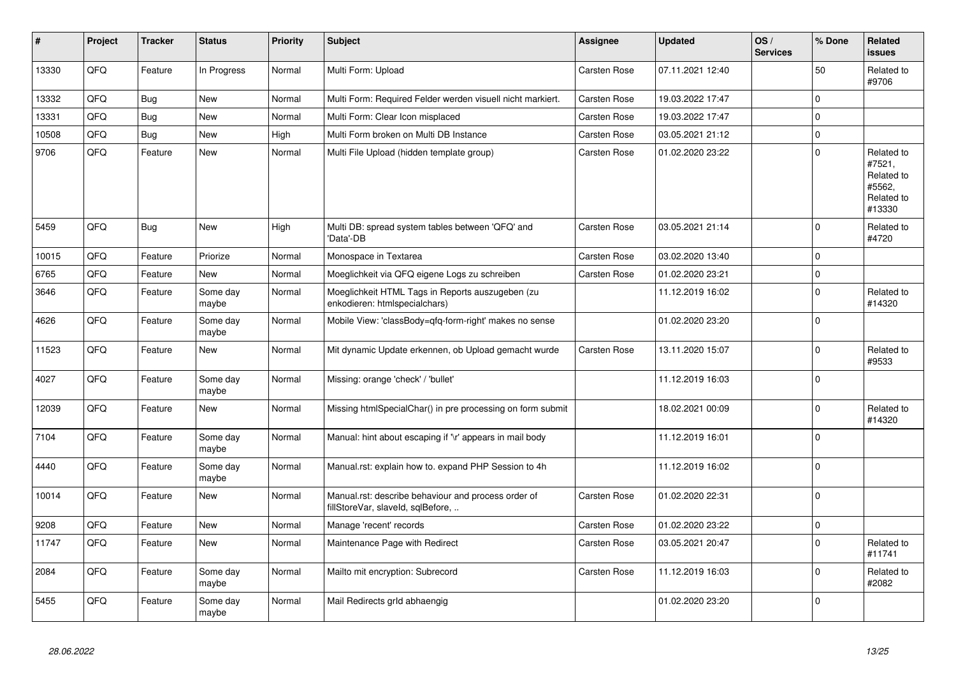| #     | Project | <b>Tracker</b> | <b>Status</b>     | <b>Priority</b> | <b>Subject</b>                                                                           | Assignee     | <b>Updated</b>   | OS/<br><b>Services</b> | % Done         | Related<br><b>issues</b>                                             |
|-------|---------|----------------|-------------------|-----------------|------------------------------------------------------------------------------------------|--------------|------------------|------------------------|----------------|----------------------------------------------------------------------|
| 13330 | QFQ     | Feature        | In Progress       | Normal          | Multi Form: Upload                                                                       | Carsten Rose | 07.11.2021 12:40 |                        | 50             | Related to<br>#9706                                                  |
| 13332 | QFQ     | Bug            | <b>New</b>        | Normal          | Multi Form: Required Felder werden visuell nicht markiert.                               | Carsten Rose | 19.03.2022 17:47 |                        | $\pmb{0}$      |                                                                      |
| 13331 | QFQ     | <b>Bug</b>     | <b>New</b>        | Normal          | Multi Form: Clear Icon misplaced                                                         | Carsten Rose | 19.03.2022 17:47 |                        | $\overline{0}$ |                                                                      |
| 10508 | QFQ     | <b>Bug</b>     | New               | High            | Multi Form broken on Multi DB Instance                                                   | Carsten Rose | 03.05.2021 21:12 |                        | $\overline{0}$ |                                                                      |
| 9706  | QFQ     | Feature        | <b>New</b>        | Normal          | Multi File Upload (hidden template group)                                                | Carsten Rose | 01.02.2020 23:22 |                        | 0              | Related to<br>#7521,<br>Related to<br>#5562,<br>Related to<br>#13330 |
| 5459  | QFQ     | <b>Bug</b>     | <b>New</b>        | High            | Multi DB: spread system tables between 'QFQ' and<br>'Data'-DB                            | Carsten Rose | 03.05.2021 21:14 |                        | 0              | Related to<br>#4720                                                  |
| 10015 | QFQ     | Feature        | Priorize          | Normal          | Monospace in Textarea                                                                    | Carsten Rose | 03.02.2020 13:40 |                        | $\overline{0}$ |                                                                      |
| 6765  | QFQ     | Feature        | <b>New</b>        | Normal          | Moeglichkeit via QFQ eigene Logs zu schreiben                                            | Carsten Rose | 01.02.2020 23:21 |                        | $\overline{0}$ |                                                                      |
| 3646  | QFQ     | Feature        | Some day<br>maybe | Normal          | Moeglichkeit HTML Tags in Reports auszugeben (zu<br>enkodieren: htmlspecialchars)        |              | 11.12.2019 16:02 |                        | $\overline{0}$ | Related to<br>#14320                                                 |
| 4626  | QFQ     | Feature        | Some day<br>maybe | Normal          | Mobile View: 'classBody=qfq-form-right' makes no sense                                   |              | 01.02.2020 23:20 |                        | $\overline{0}$ |                                                                      |
| 11523 | QFQ     | Feature        | <b>New</b>        | Normal          | Mit dynamic Update erkennen, ob Upload gemacht wurde                                     | Carsten Rose | 13.11.2020 15:07 |                        | 0              | Related to<br>#9533                                                  |
| 4027  | QFQ     | Feature        | Some day<br>maybe | Normal          | Missing: orange 'check' / 'bullet'                                                       |              | 11.12.2019 16:03 |                        | $\overline{0}$ |                                                                      |
| 12039 | QFQ     | Feature        | <b>New</b>        | Normal          | Missing htmlSpecialChar() in pre processing on form submit                               |              | 18.02.2021 00:09 |                        | 0              | Related to<br>#14320                                                 |
| 7104  | QFQ     | Feature        | Some day<br>maybe | Normal          | Manual: hint about escaping if '\r' appears in mail body                                 |              | 11.12.2019 16:01 |                        | 0              |                                                                      |
| 4440  | QFQ     | Feature        | Some day<br>maybe | Normal          | Manual.rst: explain how to. expand PHP Session to 4h                                     |              | 11.12.2019 16:02 |                        | $\mathbf 0$    |                                                                      |
| 10014 | QFQ     | Feature        | <b>New</b>        | Normal          | Manual.rst: describe behaviour and process order of<br>fillStoreVar, slaveId, sqlBefore, | Carsten Rose | 01.02.2020 22:31 |                        | $\overline{0}$ |                                                                      |
| 9208  | QFQ     | Feature        | <b>New</b>        | Normal          | Manage 'recent' records                                                                  | Carsten Rose | 01.02.2020 23:22 |                        | $\overline{0}$ |                                                                      |
| 11747 | QFQ     | Feature        | <b>New</b>        | Normal          | Maintenance Page with Redirect                                                           | Carsten Rose | 03.05.2021 20:47 |                        | $\overline{0}$ | Related to<br>#11741                                                 |
| 2084  | QFQ     | Feature        | Some day<br>maybe | Normal          | Mailto mit encryption: Subrecord                                                         | Carsten Rose | 11.12.2019 16:03 |                        | $\pmb{0}$      | Related to<br>#2082                                                  |
| 5455  | QFQ     | Feature        | Some day<br>maybe | Normal          | Mail Redirects grld abhaengig                                                            |              | 01.02.2020 23:20 |                        | 0              |                                                                      |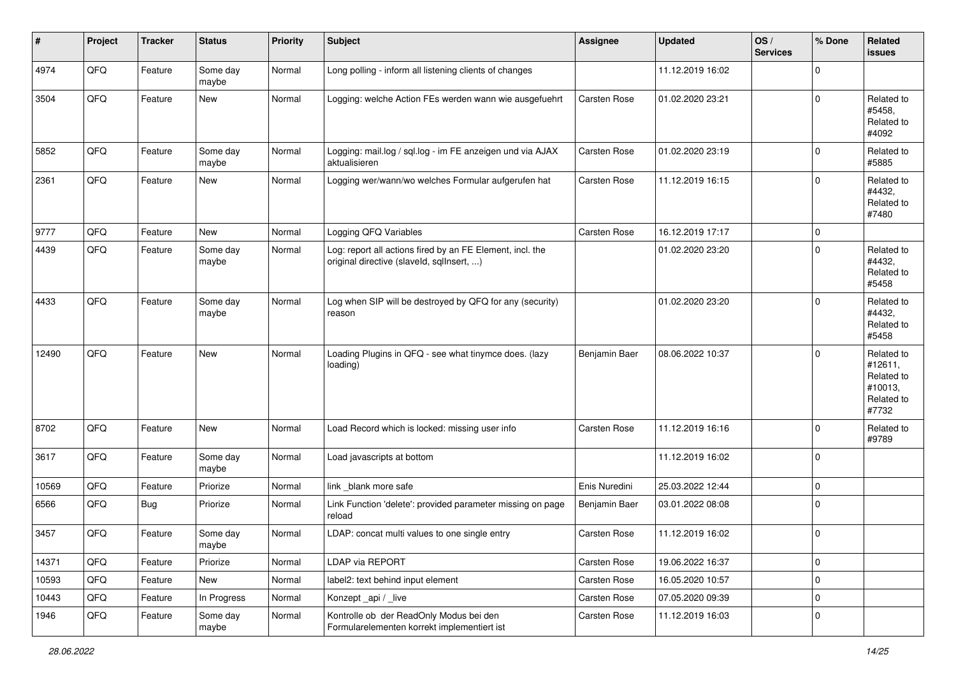| #     | Project | <b>Tracker</b> | <b>Status</b>     | <b>Priority</b> | Subject                                                                                                | <b>Assignee</b> | <b>Updated</b>   | OS/<br><b>Services</b> | % Done      | Related<br><b>issues</b>                                              |
|-------|---------|----------------|-------------------|-----------------|--------------------------------------------------------------------------------------------------------|-----------------|------------------|------------------------|-------------|-----------------------------------------------------------------------|
| 4974  | QFQ     | Feature        | Some day<br>maybe | Normal          | Long polling - inform all listening clients of changes                                                 |                 | 11.12.2019 16:02 |                        | $\Omega$    |                                                                       |
| 3504  | QFQ     | Feature        | New               | Normal          | Logging: welche Action FEs werden wann wie ausgefuehrt                                                 | Carsten Rose    | 01.02.2020 23:21 |                        | $\mathbf 0$ | Related to<br>#5458,<br>Related to<br>#4092                           |
| 5852  | QFQ     | Feature        | Some day<br>maybe | Normal          | Logging: mail.log / sql.log - im FE anzeigen und via AJAX<br>aktualisieren                             | Carsten Rose    | 01.02.2020 23:19 |                        | $\Omega$    | Related to<br>#5885                                                   |
| 2361  | QFQ     | Feature        | <b>New</b>        | Normal          | Logging wer/wann/wo welches Formular aufgerufen hat                                                    | Carsten Rose    | 11.12.2019 16:15 |                        | $\Omega$    | Related to<br>#4432,<br>Related to<br>#7480                           |
| 9777  | QFQ     | Feature        | <b>New</b>        | Normal          | Logging QFQ Variables                                                                                  | Carsten Rose    | 16.12.2019 17:17 |                        | $\mathbf 0$ |                                                                       |
| 4439  | QFQ     | Feature        | Some day<br>maybe | Normal          | Log: report all actions fired by an FE Element, incl. the<br>original directive (slaveld, sqllnsert, ) |                 | 01.02.2020 23:20 |                        | $\mathbf 0$ | Related to<br>#4432,<br>Related to<br>#5458                           |
| 4433  | QFQ     | Feature        | Some day<br>maybe | Normal          | Log when SIP will be destroyed by QFQ for any (security)<br>reason                                     |                 | 01.02.2020 23:20 |                        | $\Omega$    | Related to<br>#4432,<br>Related to<br>#5458                           |
| 12490 | QFQ     | Feature        | New               | Normal          | Loading Plugins in QFQ - see what tinymce does. (lazy<br>loading)                                      | Benjamin Baer   | 08.06.2022 10:37 |                        | $\Omega$    | Related to<br>#12611,<br>Related to<br>#10013,<br>Related to<br>#7732 |
| 8702  | QFQ     | Feature        | New               | Normal          | Load Record which is locked: missing user info                                                         | Carsten Rose    | 11.12.2019 16:16 |                        | $\Omega$    | Related to<br>#9789                                                   |
| 3617  | QFQ     | Feature        | Some day<br>maybe | Normal          | Load javascripts at bottom                                                                             |                 | 11.12.2019 16:02 |                        | $\mathbf 0$ |                                                                       |
| 10569 | QFQ     | Feature        | Priorize          | Normal          | link _blank more safe                                                                                  | Enis Nuredini   | 25.03.2022 12:44 |                        | $\mathbf 0$ |                                                                       |
| 6566  | QFQ     | Bug            | Priorize          | Normal          | Link Function 'delete': provided parameter missing on page<br>reload                                   | Benjamin Baer   | 03.01.2022 08:08 |                        | $\Omega$    |                                                                       |
| 3457  | QFQ     | Feature        | Some day<br>maybe | Normal          | LDAP: concat multi values to one single entry                                                          | Carsten Rose    | 11.12.2019 16:02 |                        | $\mathbf 0$ |                                                                       |
| 14371 | QFO     | Feature        | Priorize          | Normal          | <b>LDAP via REPORT</b>                                                                                 | Carsten Rose    | 19.06.2022 16:37 |                        | $\mathbf 0$ |                                                                       |
| 10593 | QFQ     | Feature        | New               | Normal          | label2: text behind input element                                                                      | Carsten Rose    | 16.05.2020 10:57 |                        | $\mathbf 0$ |                                                                       |
| 10443 | QFQ     | Feature        | In Progress       | Normal          | Konzept_api / _live                                                                                    | Carsten Rose    | 07.05.2020 09:39 |                        | $\mathbf 0$ |                                                                       |
| 1946  | QFQ     | Feature        | Some day<br>maybe | Normal          | Kontrolle ob der ReadOnly Modus bei den<br>Formularelementen korrekt implementiert ist                 | Carsten Rose    | 11.12.2019 16:03 |                        | $\mathbf 0$ |                                                                       |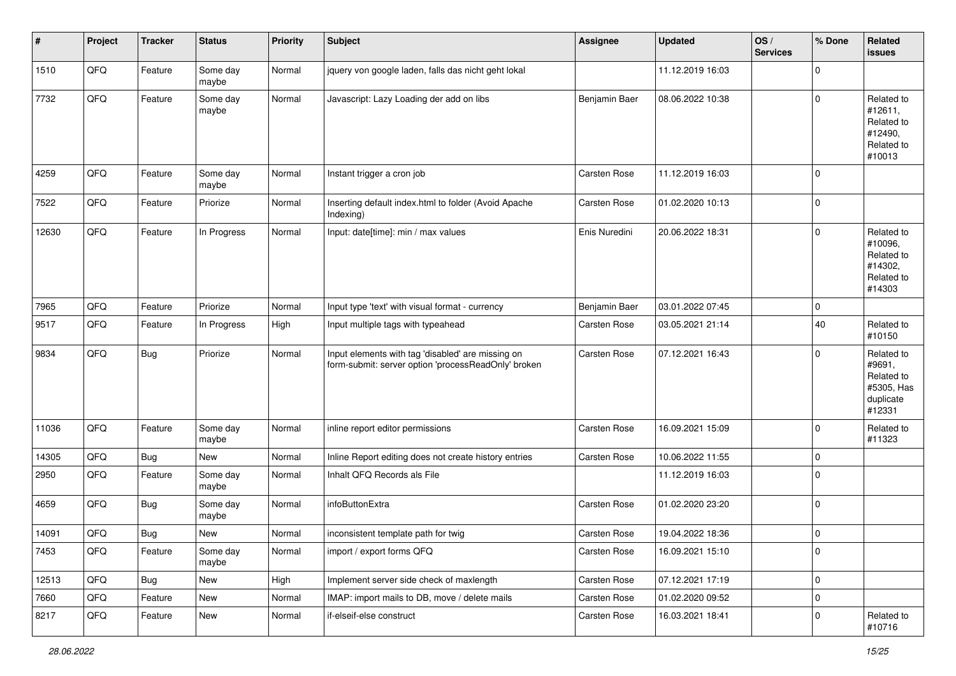| #     | Project | <b>Tracker</b> | <b>Status</b>     | <b>Priority</b> | <b>Subject</b>                                                                                           | <b>Assignee</b> | <b>Updated</b>   | OS/<br><b>Services</b> | % Done      | Related<br><b>issues</b>                                                |
|-------|---------|----------------|-------------------|-----------------|----------------------------------------------------------------------------------------------------------|-----------------|------------------|------------------------|-------------|-------------------------------------------------------------------------|
| 1510  | QFQ     | Feature        | Some day<br>maybe | Normal          | jquery von google laden, falls das nicht geht lokal                                                      |                 | 11.12.2019 16:03 |                        | $\mathbf 0$ |                                                                         |
| 7732  | QFQ     | Feature        | Some day<br>maybe | Normal          | Javascript: Lazy Loading der add on libs                                                                 | Benjamin Baer   | 08.06.2022 10:38 |                        | $\Omega$    | Related to<br>#12611,<br>Related to<br>#12490,<br>Related to<br>#10013  |
| 4259  | QFQ     | Feature        | Some day<br>maybe | Normal          | Instant trigger a cron job                                                                               | Carsten Rose    | 11.12.2019 16:03 |                        | $\Omega$    |                                                                         |
| 7522  | QFQ     | Feature        | Priorize          | Normal          | Inserting default index.html to folder (Avoid Apache<br>Indexing)                                        | Carsten Rose    | 01.02.2020 10:13 |                        | $\Omega$    |                                                                         |
| 12630 | QFQ     | Feature        | In Progress       | Normal          | Input: date[time]: min / max values                                                                      | Enis Nuredini   | 20.06.2022 18:31 |                        | $\Omega$    | Related to<br>#10096,<br>Related to<br>#14302,<br>Related to<br>#14303  |
| 7965  | QFQ     | Feature        | Priorize          | Normal          | Input type 'text' with visual format - currency                                                          | Benjamin Baer   | 03.01.2022 07:45 |                        | $\mathbf 0$ |                                                                         |
| 9517  | QFQ     | Feature        | In Progress       | High            | Input multiple tags with typeahead                                                                       | Carsten Rose    | 03.05.2021 21:14 |                        | 40          | Related to<br>#10150                                                    |
| 9834  | QFQ     | Bug            | Priorize          | Normal          | Input elements with tag 'disabled' are missing on<br>form-submit: server option 'processReadOnly' broken | Carsten Rose    | 07.12.2021 16:43 |                        | $\Omega$    | Related to<br>#9691,<br>Related to<br>#5305, Has<br>duplicate<br>#12331 |
| 11036 | QFQ     | Feature        | Some day<br>maybe | Normal          | inline report editor permissions                                                                         | Carsten Rose    | 16.09.2021 15:09 |                        | 0           | Related to<br>#11323                                                    |
| 14305 | QFQ     | <b>Bug</b>     | <b>New</b>        | Normal          | Inline Report editing does not create history entries                                                    | Carsten Rose    | 10.06.2022 11:55 |                        | 0           |                                                                         |
| 2950  | QFQ     | Feature        | Some day<br>maybe | Normal          | Inhalt QFQ Records als File                                                                              |                 | 11.12.2019 16:03 |                        | $\Omega$    |                                                                         |
| 4659  | QFQ     | Bug            | Some day<br>maybe | Normal          | infoButtonExtra                                                                                          | Carsten Rose    | 01.02.2020 23:20 |                        | $\Omega$    |                                                                         |
| 14091 | QFQ     | Bug            | New               | Normal          | inconsistent template path for twig                                                                      | Carsten Rose    | 19.04.2022 18:36 |                        | $\Omega$    |                                                                         |
| 7453  | QFG     | Feature        | Some day<br>maybe | Normal          | import / export forms QFQ                                                                                | Carsten Rose    | 16.09.2021 15:10 |                        | 0           |                                                                         |
| 12513 | QFQ     | <b>Bug</b>     | New               | High            | Implement server side check of maxlength                                                                 | Carsten Rose    | 07.12.2021 17:19 |                        | $\mathbf 0$ |                                                                         |
| 7660  | QFQ     | Feature        | New               | Normal          | IMAP: import mails to DB, move / delete mails                                                            | Carsten Rose    | 01.02.2020 09:52 |                        | 0           |                                                                         |
| 8217  | QFQ     | Feature        | New               | Normal          | if-elseif-else construct                                                                                 | Carsten Rose    | 16.03.2021 18:41 |                        | 0           | Related to<br>#10716                                                    |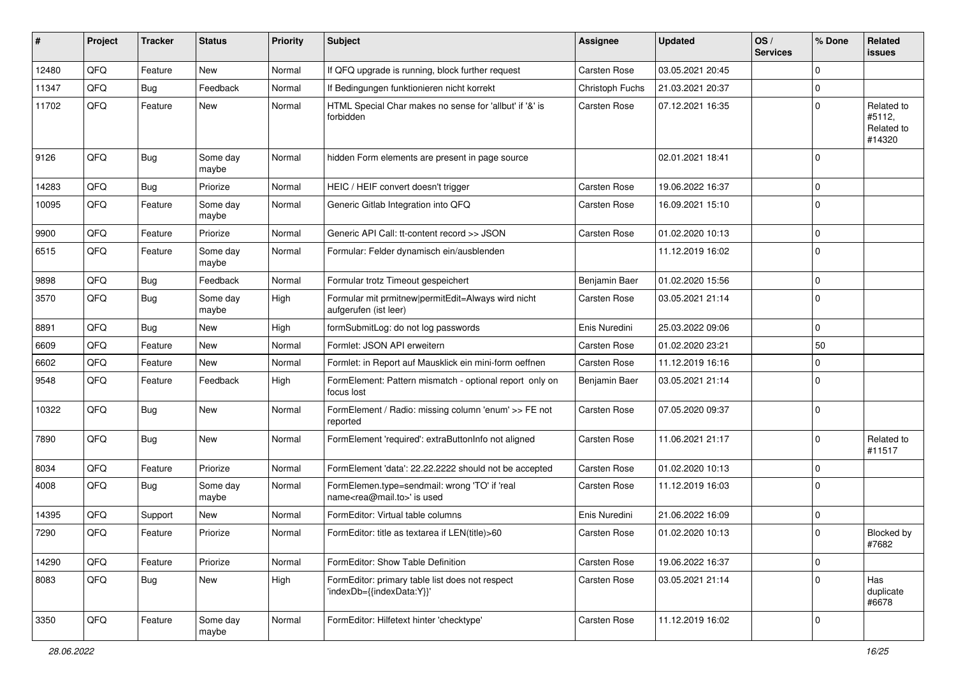| ∦     | Project | <b>Tracker</b> | <b>Status</b>     | <b>Priority</b> | <b>Subject</b>                                                                             | <b>Assignee</b> | <b>Updated</b>   | OS/<br><b>Services</b> | % Done      | Related<br>issues                            |
|-------|---------|----------------|-------------------|-----------------|--------------------------------------------------------------------------------------------|-----------------|------------------|------------------------|-------------|----------------------------------------------|
| 12480 | QFQ     | Feature        | <b>New</b>        | Normal          | If QFQ upgrade is running, block further request                                           | Carsten Rose    | 03.05.2021 20:45 |                        | $\Omega$    |                                              |
| 11347 | QFQ     | <b>Bug</b>     | Feedback          | Normal          | If Bedingungen funktionieren nicht korrekt                                                 | Christoph Fuchs | 21.03.2021 20:37 |                        | 0           |                                              |
| 11702 | QFQ     | Feature        | <b>New</b>        | Normal          | HTML Special Char makes no sense for 'allbut' if '&' is<br>forbidden                       | Carsten Rose    | 07.12.2021 16:35 |                        | $\Omega$    | Related to<br>#5112,<br>Related to<br>#14320 |
| 9126  | QFQ     | Bug            | Some day<br>maybe | Normal          | hidden Form elements are present in page source                                            |                 | 02.01.2021 18:41 |                        | $\Omega$    |                                              |
| 14283 | QFQ     | Bug            | Priorize          | Normal          | HEIC / HEIF convert doesn't trigger                                                        | Carsten Rose    | 19.06.2022 16:37 |                        | $\mathbf 0$ |                                              |
| 10095 | QFQ     | Feature        | Some day<br>maybe | Normal          | Generic Gitlab Integration into QFQ                                                        | Carsten Rose    | 16.09.2021 15:10 |                        | $\Omega$    |                                              |
| 9900  | QFQ     | Feature        | Priorize          | Normal          | Generic API Call: tt-content record >> JSON                                                | Carsten Rose    | 01.02.2020 10:13 |                        | 0           |                                              |
| 6515  | QFQ     | Feature        | Some day<br>maybe | Normal          | Formular: Felder dynamisch ein/ausblenden                                                  |                 | 11.12.2019 16:02 |                        | $\Omega$    |                                              |
| 9898  | QFQ     | Bug            | Feedback          | Normal          | Formular trotz Timeout gespeichert                                                         | Benjamin Baer   | 01.02.2020 15:56 |                        | 0           |                                              |
| 3570  | QFQ     | <b>Bug</b>     | Some dav<br>maybe | High            | Formular mit prmitnew permitEdit=Always wird nicht<br>aufgerufen (ist leer)                | Carsten Rose    | 03.05.2021 21:14 |                        | $\Omega$    |                                              |
| 8891  | QFQ     | Bug            | <b>New</b>        | High            | formSubmitLog: do not log passwords                                                        | Enis Nuredini   | 25.03.2022 09:06 |                        | $\mathbf 0$ |                                              |
| 6609  | QFQ     | Feature        | New               | Normal          | Formlet: JSON API erweitern                                                                | Carsten Rose    | 01.02.2020 23:21 |                        | 50          |                                              |
| 6602  | QFQ     | Feature        | <b>New</b>        | Normal          | Formlet: in Report auf Mausklick ein mini-form oeffnen                                     | Carsten Rose    | 11.12.2019 16:16 |                        | 0           |                                              |
| 9548  | QFQ     | Feature        | Feedback          | High            | FormElement: Pattern mismatch - optional report only on<br>focus lost                      | Benjamin Baer   | 03.05.2021 21:14 |                        | $\Omega$    |                                              |
| 10322 | QFQ     | Bug            | New               | Normal          | FormElement / Radio: missing column 'enum' >> FE not<br>reported                           | Carsten Rose    | 07.05.2020 09:37 |                        | $\mathbf 0$ |                                              |
| 7890  | QFQ     | Bug            | New               | Normal          | FormElement 'required': extraButtonInfo not aligned                                        | Carsten Rose    | 11.06.2021 21:17 |                        | $\mathbf 0$ | Related to<br>#11517                         |
| 8034  | QFQ     | Feature        | Priorize          | Normal          | FormElement 'data': 22.22.2222 should not be accepted                                      | Carsten Rose    | 01.02.2020 10:13 |                        | 0           |                                              |
| 4008  | QFQ     | <b>Bug</b>     | Some day<br>maybe | Normal          | FormElemen.type=sendmail: wrong 'TO' if 'real<br>name <rea@mail.to>' is used</rea@mail.to> | Carsten Rose    | 11.12.2019 16:03 |                        | $\Omega$    |                                              |
| 14395 | QFQ     | Support        | <b>New</b>        | Normal          | FormEditor: Virtual table columns                                                          | Enis Nuredini   | 21.06.2022 16:09 |                        | 0           |                                              |
| 7290  | QFQ     | Feature        | Priorize          | Normal          | FormEditor: title as textarea if LEN(title)>60                                             | Carsten Rose    | 01.02.2020 10:13 |                        | $\Omega$    | Blocked by<br>#7682                          |
| 14290 | QFQ     | Feature        | Priorize          | Normal          | FormEditor: Show Table Definition                                                          | Carsten Rose    | 19.06.2022 16:37 |                        | $\mathbf 0$ |                                              |
| 8083  | QFQ     | <b>Bug</b>     | New               | High            | FormEditor: primary table list does not respect<br>'indexDb={{indexData:Y}}'               | Carsten Rose    | 03.05.2021 21:14 |                        | $\Omega$    | Has<br>duplicate<br>#6678                    |
| 3350  | QFQ     | Feature        | Some day<br>maybe | Normal          | FormEditor: Hilfetext hinter 'checktype'                                                   | Carsten Rose    | 11.12.2019 16:02 |                        | 0           |                                              |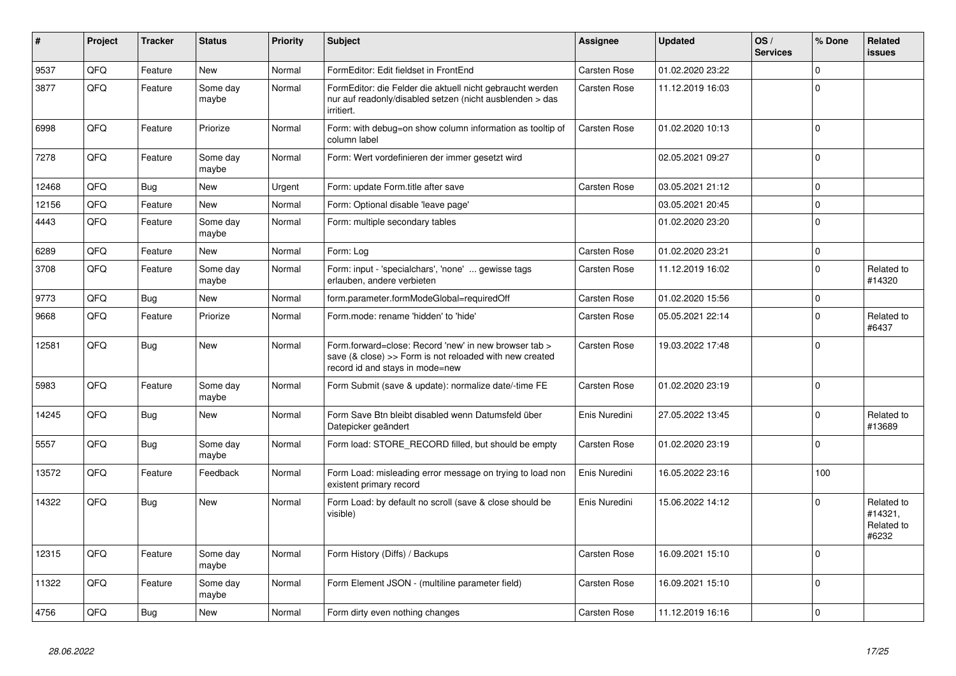| #     | Project | <b>Tracker</b> | <b>Status</b>     | <b>Priority</b> | Subject                                                                                                                                             | Assignee            | <b>Updated</b>   | OS/<br><b>Services</b> | % Done      | Related<br>issues                            |
|-------|---------|----------------|-------------------|-----------------|-----------------------------------------------------------------------------------------------------------------------------------------------------|---------------------|------------------|------------------------|-------------|----------------------------------------------|
| 9537  | QFQ     | Feature        | <b>New</b>        | Normal          | FormEditor: Edit fieldset in FrontEnd                                                                                                               | Carsten Rose        | 01.02.2020 23:22 |                        | $\Omega$    |                                              |
| 3877  | QFQ     | Feature        | Some day<br>maybe | Normal          | FormEditor: die Felder die aktuell nicht gebraucht werden<br>nur auf readonly/disabled setzen (nicht ausblenden > das<br>irritiert.                 | Carsten Rose        | 11.12.2019 16:03 |                        | $\Omega$    |                                              |
| 6998  | QFQ     | Feature        | Priorize          | Normal          | Form: with debug=on show column information as tooltip of<br>column label                                                                           | Carsten Rose        | 01.02.2020 10:13 |                        | $\mathbf 0$ |                                              |
| 7278  | QFQ     | Feature        | Some day<br>maybe | Normal          | Form: Wert vordefinieren der immer gesetzt wird                                                                                                     |                     | 02.05.2021 09:27 |                        | $\Omega$    |                                              |
| 12468 | QFQ     | <b>Bug</b>     | <b>New</b>        | Urgent          | Form: update Form.title after save                                                                                                                  | <b>Carsten Rose</b> | 03.05.2021 21:12 |                        | $\Omega$    |                                              |
| 12156 | QFQ     | Feature        | <b>New</b>        | Normal          | Form: Optional disable 'leave page'                                                                                                                 |                     | 03.05.2021 20:45 |                        | $\Omega$    |                                              |
| 4443  | QFQ     | Feature        | Some day<br>maybe | Normal          | Form: multiple secondary tables                                                                                                                     |                     | 01.02.2020 23:20 |                        | $\Omega$    |                                              |
| 6289  | QFQ     | Feature        | <b>New</b>        | Normal          | Form: Log                                                                                                                                           | Carsten Rose        | 01.02.2020 23:21 |                        | $\Omega$    |                                              |
| 3708  | QFQ     | Feature        | Some day<br>maybe | Normal          | Form: input - 'specialchars', 'none'  gewisse tags<br>erlauben, andere verbieten                                                                    | Carsten Rose        | 11.12.2019 16:02 |                        | $\Omega$    | Related to<br>#14320                         |
| 9773  | QFQ     | <b>Bug</b>     | <b>New</b>        | Normal          | form.parameter.formModeGlobal=requiredOff                                                                                                           | Carsten Rose        | 01.02.2020 15:56 |                        | $\mathbf 0$ |                                              |
| 9668  | QFQ     | Feature        | Priorize          | Normal          | Form.mode: rename 'hidden' to 'hide'                                                                                                                | <b>Carsten Rose</b> | 05.05.2021 22:14 |                        | $\Omega$    | Related to<br>#6437                          |
| 12581 | QFQ     | <b>Bug</b>     | <b>New</b>        | Normal          | Form forward=close: Record 'new' in new browser tab ><br>save (& close) >> Form is not reloaded with new created<br>record id and stays in mode=new | Carsten Rose        | 19.03.2022 17:48 |                        | $\Omega$    |                                              |
| 5983  | QFQ     | Feature        | Some day<br>maybe | Normal          | Form Submit (save & update): normalize date/-time FE                                                                                                | Carsten Rose        | 01.02.2020 23:19 |                        | $\Omega$    |                                              |
| 14245 | QFQ     | Bug            | <b>New</b>        | Normal          | Form Save Btn bleibt disabled wenn Datumsfeld über<br>Datepicker geändert                                                                           | Enis Nuredini       | 27.05.2022 13:45 |                        | $\Omega$    | Related to<br>#13689                         |
| 5557  | QFQ     | <b>Bug</b>     | Some day<br>maybe | Normal          | Form load: STORE_RECORD filled, but should be empty                                                                                                 | Carsten Rose        | 01.02.2020 23:19 |                        | $\Omega$    |                                              |
| 13572 | QFQ     | Feature        | Feedback          | Normal          | Form Load: misleading error message on trying to load non<br>existent primary record                                                                | Enis Nuredini       | 16.05.2022 23:16 |                        | 100         |                                              |
| 14322 | QFQ     | <b>Bug</b>     | <b>New</b>        | Normal          | Form Load: by default no scroll (save & close should be<br>visible)                                                                                 | Enis Nuredini       | 15.06.2022 14:12 |                        | $\Omega$    | Related to<br>#14321,<br>Related to<br>#6232 |
| 12315 | QFQ     | Feature        | Some day<br>maybe | Normal          | Form History (Diffs) / Backups                                                                                                                      | Carsten Rose        | 16.09.2021 15:10 |                        | $\Omega$    |                                              |
| 11322 | QFQ     | Feature        | Some day<br>maybe | Normal          | Form Element JSON - (multiline parameter field)                                                                                                     | Carsten Rose        | 16.09.2021 15:10 |                        | $\Omega$    |                                              |
| 4756  | QFQ     | Bug            | New               | Normal          | Form dirty even nothing changes                                                                                                                     | <b>Carsten Rose</b> | 11.12.2019 16:16 |                        | $\mathbf 0$ |                                              |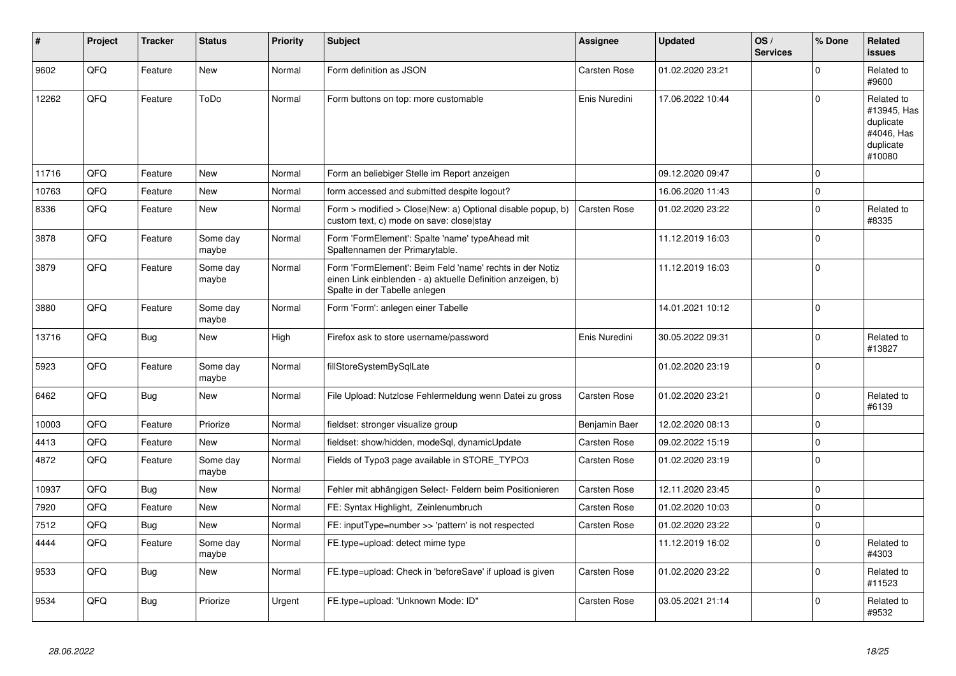| #     | Project | <b>Tracker</b> | <b>Status</b>     | <b>Priority</b> | <b>Subject</b>                                                                                                                                           | Assignee            | <b>Updated</b>   | OS/<br><b>Services</b> | % Done      | Related<br><b>issues</b>                                                    |
|-------|---------|----------------|-------------------|-----------------|----------------------------------------------------------------------------------------------------------------------------------------------------------|---------------------|------------------|------------------------|-------------|-----------------------------------------------------------------------------|
| 9602  | QFQ     | Feature        | New               | Normal          | Form definition as JSON                                                                                                                                  | Carsten Rose        | 01.02.2020 23:21 |                        | $\Omega$    | Related to<br>#9600                                                         |
| 12262 | QFQ     | Feature        | ToDo              | Normal          | Form buttons on top: more customable                                                                                                                     | Enis Nuredini       | 17.06.2022 10:44 |                        | $\Omega$    | Related to<br>#13945, Has<br>duplicate<br>#4046, Has<br>duplicate<br>#10080 |
| 11716 | QFQ     | Feature        | <b>New</b>        | Normal          | Form an beliebiger Stelle im Report anzeigen                                                                                                             |                     | 09.12.2020 09:47 |                        | $\Omega$    |                                                                             |
| 10763 | QFQ     | Feature        | New               | Normal          | form accessed and submitted despite logout?                                                                                                              |                     | 16.06.2020 11:43 |                        | $\Omega$    |                                                                             |
| 8336  | QFQ     | Feature        | New               | Normal          | Form > modified > Close New: a) Optional disable popup, b)<br>custom text, c) mode on save: close stay                                                   | <b>Carsten Rose</b> | 01.02.2020 23:22 |                        | $\mathbf 0$ | Related to<br>#8335                                                         |
| 3878  | QFQ     | Feature        | Some day<br>maybe | Normal          | Form 'FormElement': Spalte 'name' typeAhead mit<br>Spaltennamen der Primarytable.                                                                        |                     | 11.12.2019 16:03 |                        | $\Omega$    |                                                                             |
| 3879  | QFQ     | Feature        | Some day<br>maybe | Normal          | Form 'FormElement': Beim Feld 'name' rechts in der Notiz<br>einen Link einblenden - a) aktuelle Definition anzeigen, b)<br>Spalte in der Tabelle anlegen |                     | 11.12.2019 16:03 |                        | $\Omega$    |                                                                             |
| 3880  | QFQ     | Feature        | Some day<br>maybe | Normal          | Form 'Form': anlegen einer Tabelle                                                                                                                       |                     | 14.01.2021 10:12 |                        | $\Omega$    |                                                                             |
| 13716 | QFQ     | <b>Bug</b>     | New               | High            | Firefox ask to store username/password                                                                                                                   | Enis Nuredini       | 30.05.2022 09:31 |                        | $\Omega$    | Related to<br>#13827                                                        |
| 5923  | QFQ     | Feature        | Some day<br>maybe | Normal          | fillStoreSystemBySqlLate                                                                                                                                 |                     | 01.02.2020 23:19 |                        | 0           |                                                                             |
| 6462  | QFQ     | Bug            | <b>New</b>        | Normal          | File Upload: Nutzlose Fehlermeldung wenn Datei zu gross                                                                                                  | Carsten Rose        | 01.02.2020 23:21 |                        | $\Omega$    | Related to<br>#6139                                                         |
| 10003 | QFQ     | Feature        | Priorize          | Normal          | fieldset: stronger visualize group                                                                                                                       | Benjamin Baer       | 12.02.2020 08:13 |                        | $\Omega$    |                                                                             |
| 4413  | QFQ     | Feature        | New               | Normal          | fieldset: show/hidden, modeSql, dynamicUpdate                                                                                                            | Carsten Rose        | 09.02.2022 15:19 |                        | $\Omega$    |                                                                             |
| 4872  | QFQ     | Feature        | Some day<br>maybe | Normal          | Fields of Typo3 page available in STORE_TYPO3                                                                                                            | Carsten Rose        | 01.02.2020 23:19 |                        | $\Omega$    |                                                                             |
| 10937 | QFQ     | Bug            | <b>New</b>        | Normal          | Fehler mit abhängigen Select- Feldern beim Positionieren                                                                                                 | Carsten Rose        | 12.11.2020 23:45 |                        | $\Omega$    |                                                                             |
| 7920  | QFQ     | Feature        | <b>New</b>        | Normal          | FE: Syntax Highlight, Zeinlenumbruch                                                                                                                     | Carsten Rose        | 01.02.2020 10:03 |                        | $\Omega$    |                                                                             |
| 7512  | QFQ     | <b>Bug</b>     | <b>New</b>        | Normal          | FE: inputType=number >> 'pattern' is not respected                                                                                                       | Carsten Rose        | 01.02.2020 23:22 |                        | 0           |                                                                             |
| 4444  | QFQ     | Feature        | Some day<br>maybe | Normal          | FE.type=upload: detect mime type                                                                                                                         |                     | 11.12.2019 16:02 |                        | $\Omega$    | Related to<br>#4303                                                         |
| 9533  | QFQ     | <b>Bug</b>     | <b>New</b>        | Normal          | FE.type=upload: Check in 'beforeSave' if upload is given                                                                                                 | Carsten Rose        | 01.02.2020 23:22 |                        | $\mathbf 0$ | Related to<br>#11523                                                        |
| 9534  | QFQ     | Bug            | Priorize          | Urgent          | FE.type=upload: 'Unknown Mode: ID"                                                                                                                       | Carsten Rose        | 03.05.2021 21:14 |                        | $\Omega$    | Related to<br>#9532                                                         |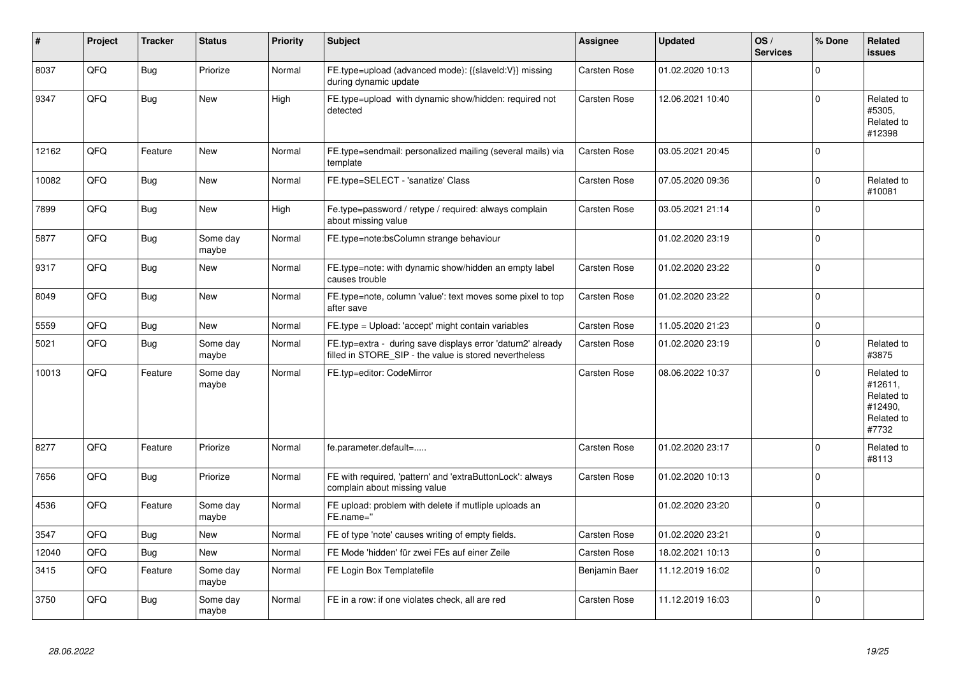| #     | Project | <b>Tracker</b> | <b>Status</b>     | <b>Priority</b> | <b>Subject</b>                                                                                                       | Assignee            | <b>Updated</b>   | OS/<br><b>Services</b> | % Done       | Related<br>issues                                                     |
|-------|---------|----------------|-------------------|-----------------|----------------------------------------------------------------------------------------------------------------------|---------------------|------------------|------------------------|--------------|-----------------------------------------------------------------------|
| 8037  | QFQ     | <b>Bug</b>     | Priorize          | Normal          | FE.type=upload (advanced mode): {{slaveId:V}} missing<br>during dynamic update                                       | Carsten Rose        | 01.02.2020 10:13 |                        | $\mathbf 0$  |                                                                       |
| 9347  | QFQ     | Bug            | <b>New</b>        | High            | FE.type=upload with dynamic show/hidden: required not<br>detected                                                    | Carsten Rose        | 12.06.2021 10:40 |                        | 0            | Related to<br>#5305,<br>Related to<br>#12398                          |
| 12162 | QFQ     | Feature        | <b>New</b>        | Normal          | FE.type=sendmail: personalized mailing (several mails) via<br>template                                               | <b>Carsten Rose</b> | 03.05.2021 20:45 |                        | $\Omega$     |                                                                       |
| 10082 | QFQ     | Bug            | <b>New</b>        | Normal          | FE.type=SELECT - 'sanatize' Class                                                                                    | Carsten Rose        | 07.05.2020 09:36 |                        | $\mathbf 0$  | Related to<br>#10081                                                  |
| 7899  | QFQ     | Bug            | New               | High            | Fe.type=password / retype / required: always complain<br>about missing value                                         | <b>Carsten Rose</b> | 03.05.2021 21:14 |                        | $\mathbf{0}$ |                                                                       |
| 5877  | QFQ     | <b>Bug</b>     | Some day<br>maybe | Normal          | FE.type=note:bsColumn strange behaviour                                                                              |                     | 01.02.2020 23:19 |                        | $\mathbf 0$  |                                                                       |
| 9317  | QFQ     | <b>Bug</b>     | New               | Normal          | FE.type=note: with dynamic show/hidden an empty label<br>causes trouble                                              | <b>Carsten Rose</b> | 01.02.2020 23:22 |                        | $\Omega$     |                                                                       |
| 8049  | QFQ     | <b>Bug</b>     | <b>New</b>        | Normal          | FE.type=note, column 'value': text moves some pixel to top<br>after save                                             | Carsten Rose        | 01.02.2020 23:22 |                        | $\Omega$     |                                                                       |
| 5559  | QFQ     | <b>Bug</b>     | <b>New</b>        | Normal          | FE.type = Upload: 'accept' might contain variables                                                                   | Carsten Rose        | 11.05.2020 21:23 |                        | $\mathbf 0$  |                                                                       |
| 5021  | QFQ     | Bug            | Some day<br>maybe | Normal          | FE.typ=extra - during save displays error 'datum2' already<br>filled in STORE_SIP - the value is stored nevertheless | Carsten Rose        | 01.02.2020 23:19 |                        | $\Omega$     | Related to<br>#3875                                                   |
| 10013 | QFQ     | Feature        | Some day<br>maybe | Normal          | FE.typ=editor: CodeMirror                                                                                            | <b>Carsten Rose</b> | 08.06.2022 10:37 |                        | $\Omega$     | Related to<br>#12611,<br>Related to<br>#12490,<br>Related to<br>#7732 |
| 8277  | QFQ     | Feature        | Priorize          | Normal          | fe.parameter.default=                                                                                                | <b>Carsten Rose</b> | 01.02.2020 23:17 |                        | $\mathbf 0$  | Related to<br>#8113                                                   |
| 7656  | QFQ     | Bug            | Priorize          | Normal          | FE with required, 'pattern' and 'extraButtonLock': always<br>complain about missing value                            | <b>Carsten Rose</b> | 01.02.2020 10:13 |                        | 0            |                                                                       |
| 4536  | QFQ     | Feature        | Some day<br>maybe | Normal          | FE upload: problem with delete if mutliple uploads an<br>FE.name="                                                   |                     | 01.02.2020 23:20 |                        | $\Omega$     |                                                                       |
| 3547  | QFQ     | Bug            | New               | Normal          | FE of type 'note' causes writing of empty fields.                                                                    | Carsten Rose        | 01.02.2020 23:21 |                        | $\Omega$     |                                                                       |
| 12040 | QFQ     | Bug            | New               | Normal          | FE Mode 'hidden' für zwei FEs auf einer Zeile                                                                        | <b>Carsten Rose</b> | 18.02.2021 10:13 |                        | $\mathbf 0$  |                                                                       |
| 3415  | QFQ     | Feature        | Some day<br>maybe | Normal          | FE Login Box Templatefile                                                                                            | Benjamin Baer       | 11.12.2019 16:02 |                        | $\mathbf 0$  |                                                                       |
| 3750  | QFQ     | Bug            | Some day<br>maybe | Normal          | FE in a row: if one violates check, all are red                                                                      | Carsten Rose        | 11.12.2019 16:03 |                        | $\Omega$     |                                                                       |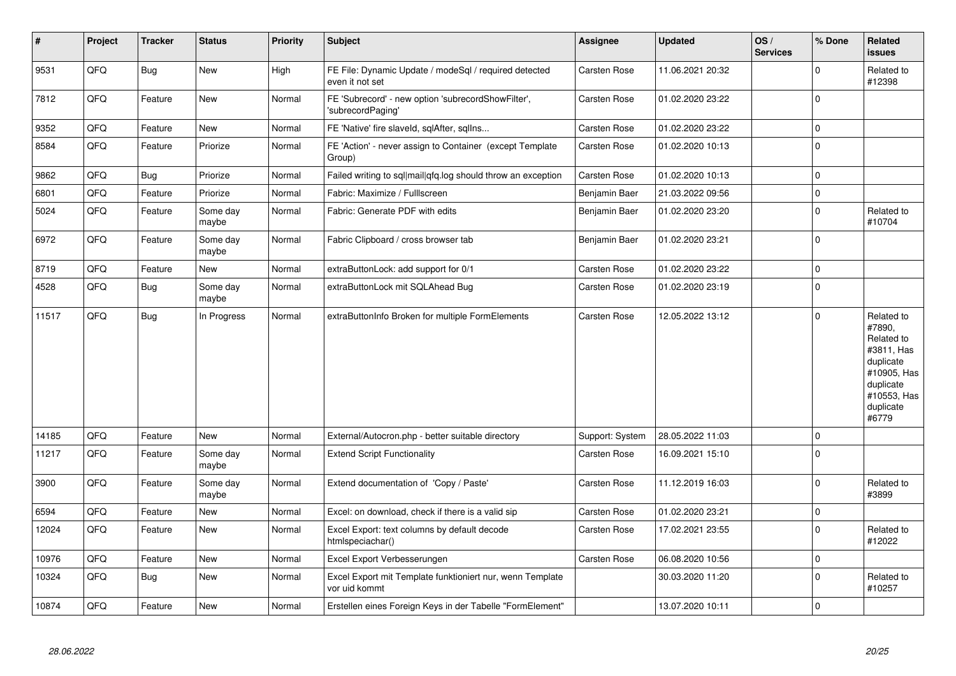| $\vert$ # | Project | <b>Tracker</b> | <b>Status</b>     | <b>Priority</b> | <b>Subject</b>                                                             | Assignee            | <b>Updated</b>   | OS/<br><b>Services</b> | % Done              | Related<br>issues                                                                                                              |
|-----------|---------|----------------|-------------------|-----------------|----------------------------------------------------------------------------|---------------------|------------------|------------------------|---------------------|--------------------------------------------------------------------------------------------------------------------------------|
| 9531      | QFQ     | <b>Bug</b>     | New               | High            | FE File: Dynamic Update / modeSql / required detected<br>even it not set   | Carsten Rose        | 11.06.2021 20:32 |                        | $\Omega$            | Related to<br>#12398                                                                                                           |
| 7812      | QFQ     | Feature        | <b>New</b>        | Normal          | FE 'Subrecord' - new option 'subrecordShowFilter',<br>'subrecordPaging'    | Carsten Rose        | 01.02.2020 23:22 |                        | $\Omega$            |                                                                                                                                |
| 9352      | QFQ     | Feature        | <b>New</b>        | Normal          | FE 'Native' fire slaveld, sqlAfter, sqlIns                                 | <b>Carsten Rose</b> | 01.02.2020 23:22 |                        | $\mathbf 0$         |                                                                                                                                |
| 8584      | QFQ     | Feature        | Priorize          | Normal          | FE 'Action' - never assign to Container (except Template<br>Group)         | Carsten Rose        | 01.02.2020 10:13 |                        | $\Omega$            |                                                                                                                                |
| 9862      | QFQ     | <b>Bug</b>     | Priorize          | Normal          | Failed writing to sql mail qfq.log should throw an exception               | Carsten Rose        | 01.02.2020 10:13 |                        | $\mathbf 0$         |                                                                                                                                |
| 6801      | QFQ     | Feature        | Priorize          | Normal          | Fabric: Maximize / FullIscreen                                             | Benjamin Baer       | 21.03.2022 09:56 |                        | $\pmb{0}$           |                                                                                                                                |
| 5024      | QFQ     | Feature        | Some day<br>maybe | Normal          | Fabric: Generate PDF with edits                                            | Benjamin Baer       | 01.02.2020 23:20 |                        | $\mathbf 0$         | Related to<br>#10704                                                                                                           |
| 6972      | QFQ     | Feature        | Some day<br>maybe | Normal          | Fabric Clipboard / cross browser tab                                       | Benjamin Baer       | 01.02.2020 23:21 |                        | $\Omega$            |                                                                                                                                |
| 8719      | QFQ     | Feature        | <b>New</b>        | Normal          | extraButtonLock: add support for 0/1                                       | Carsten Rose        | 01.02.2020 23:22 |                        | $\mathbf 0$         |                                                                                                                                |
| 4528      | QFQ     | <b>Bug</b>     | Some day<br>maybe | Normal          | extraButtonLock mit SQLAhead Bug                                           | Carsten Rose        | 01.02.2020 23:19 |                        | $\mathbf 0$         |                                                                                                                                |
| 11517     | QFQ     | Bug            | In Progress       | Normal          | extraButtonInfo Broken for multiple FormElements                           | <b>Carsten Rose</b> | 12.05.2022 13:12 |                        | $\Omega$            | Related to<br>#7890,<br>Related to<br>#3811, Has<br>duplicate<br>#10905, Has<br>duplicate<br>#10553, Has<br>duplicate<br>#6779 |
| 14185     | QFQ     | Feature        | <b>New</b>        | Normal          | External/Autocron.php - better suitable directory                          | Support: System     | 28.05.2022 11:03 |                        | $\mathbf 0$         |                                                                                                                                |
| 11217     | QFQ     | Feature        | Some day<br>maybe | Normal          | <b>Extend Script Functionality</b>                                         | Carsten Rose        | 16.09.2021 15:10 |                        | $\mathbf 0$         |                                                                                                                                |
| 3900      | QFQ     | Feature        | Some day<br>maybe | Normal          | Extend documentation of 'Copy / Paste'                                     | Carsten Rose        | 11.12.2019 16:03 |                        | $\Omega$            | Related to<br>#3899                                                                                                            |
| 6594      | QFQ     | Feature        | <b>New</b>        | Normal          | Excel: on download, check if there is a valid sip                          | Carsten Rose        | 01.02.2020 23:21 |                        | $\mathbf 0$         |                                                                                                                                |
| 12024     | QFQ     | Feature        | <b>New</b>        | Normal          | Excel Export: text columns by default decode<br>htmlspeciachar()           | Carsten Rose        | 17.02.2021 23:55 |                        | $\mathbf 0$         | Related to<br>#12022                                                                                                           |
| 10976     | QFQ     | Feature        | New               | Normal          | Excel Export Verbesserungen                                                | Carsten Rose        | 06.08.2020 10:56 |                        | $\mathsf{O}\xspace$ |                                                                                                                                |
| 10324     | QFQ     | <b>Bug</b>     | <b>New</b>        | Normal          | Excel Export mit Template funktioniert nur, wenn Template<br>vor uid kommt |                     | 30.03.2020 11:20 |                        | $\mathbf 0$         | Related to<br>#10257                                                                                                           |
| 10874     | QFQ     | Feature        | <b>New</b>        | Normal          | Erstellen eines Foreign Keys in der Tabelle "FormElement"                  |                     | 13.07.2020 10:11 |                        | $\Omega$            |                                                                                                                                |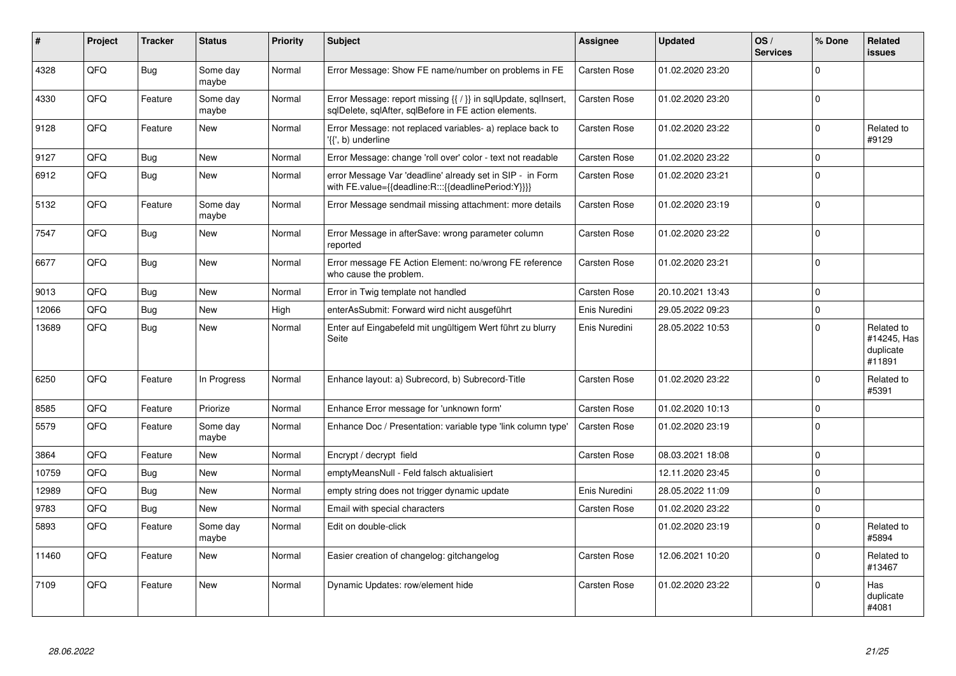| ∦     | Project | <b>Tracker</b> | <b>Status</b>     | <b>Priority</b> | <b>Subject</b>                                                                                                          | Assignee            | <b>Updated</b>   | OS/<br><b>Services</b> | % Done      | Related<br>issues                                |
|-------|---------|----------------|-------------------|-----------------|-------------------------------------------------------------------------------------------------------------------------|---------------------|------------------|------------------------|-------------|--------------------------------------------------|
| 4328  | QFQ     | <b>Bug</b>     | Some day<br>maybe | Normal          | Error Message: Show FE name/number on problems in FE                                                                    | Carsten Rose        | 01.02.2020 23:20 |                        | $\Omega$    |                                                  |
| 4330  | QFQ     | Feature        | Some day<br>maybe | Normal          | Error Message: report missing {{ / }} in sqlUpdate, sqlInsert,<br>sglDelete, sglAfter, sglBefore in FE action elements. | Carsten Rose        | 01.02.2020 23:20 |                        | $\Omega$    |                                                  |
| 9128  | QFQ     | Feature        | <b>New</b>        | Normal          | Error Message: not replaced variables- a) replace back to<br>'{{', b) underline                                         | Carsten Rose        | 01.02.2020 23:22 |                        | $\mathbf 0$ | Related to<br>#9129                              |
| 9127  | QFQ     | Bug            | <b>New</b>        | Normal          | Error Message: change 'roll over' color - text not readable                                                             | Carsten Rose        | 01.02.2020 23:22 |                        | $\mathbf 0$ |                                                  |
| 6912  | QFQ     | <b>Bug</b>     | <b>New</b>        | Normal          | error Message Var 'deadline' already set in SIP - in Form<br>with FE.value={{deadline:R:::{{deadlinePeriod:Y}}}}        | Carsten Rose        | 01.02.2020 23:21 |                        | $\Omega$    |                                                  |
| 5132  | QFQ     | Feature        | Some day<br>maybe | Normal          | Error Message sendmail missing attachment: more details                                                                 | Carsten Rose        | 01.02.2020 23:19 |                        | $\Omega$    |                                                  |
| 7547  | QFQ     | Bug            | <b>New</b>        | Normal          | Error Message in afterSave: wrong parameter column<br>reported                                                          | Carsten Rose        | 01.02.2020 23:22 |                        | $\Omega$    |                                                  |
| 6677  | QFQ     | Bug            | New               | Normal          | Error message FE Action Element: no/wrong FE reference<br>who cause the problem.                                        | <b>Carsten Rose</b> | 01.02.2020 23:21 |                        | $\Omega$    |                                                  |
| 9013  | QFQ     | Bug            | <b>New</b>        | Normal          | Error in Twig template not handled                                                                                      | <b>Carsten Rose</b> | 20.10.2021 13:43 |                        | $\mathbf 0$ |                                                  |
| 12066 | QFQ     | Bug            | <b>New</b>        | High            | enterAsSubmit: Forward wird nicht ausgeführt                                                                            | Enis Nuredini       | 29.05.2022 09:23 |                        | $\Omega$    |                                                  |
| 13689 | QFQ     | Bug            | <b>New</b>        | Normal          | Enter auf Eingabefeld mit ungültigem Wert führt zu blurry<br>Seite                                                      | Enis Nuredini       | 28.05.2022 10:53 |                        | $\Omega$    | Related to<br>#14245, Has<br>duplicate<br>#11891 |
| 6250  | QFQ     | Feature        | In Progress       | Normal          | Enhance layout: a) Subrecord, b) Subrecord-Title                                                                        | <b>Carsten Rose</b> | 01.02.2020 23:22 |                        | $\Omega$    | Related to<br>#5391                              |
| 8585  | QFQ     | Feature        | Priorize          | Normal          | Enhance Error message for 'unknown form'                                                                                | Carsten Rose        | 01.02.2020 10:13 |                        | $\mathbf 0$ |                                                  |
| 5579  | QFQ     | Feature        | Some day<br>maybe | Normal          | Enhance Doc / Presentation: variable type 'link column type'                                                            | Carsten Rose        | 01.02.2020 23:19 |                        | $\Omega$    |                                                  |
| 3864  | QFQ     | Feature        | <b>New</b>        | Normal          | Encrypt / decrypt field                                                                                                 | Carsten Rose        | 08.03.2021 18:08 |                        | $\Omega$    |                                                  |
| 10759 | QFQ     | Bug            | New               | Normal          | emptyMeansNull - Feld falsch aktualisiert                                                                               |                     | 12.11.2020 23:45 |                        | $\Omega$    |                                                  |
| 12989 | QFQ     | <b>Bug</b>     | <b>New</b>        | Normal          | empty string does not trigger dynamic update                                                                            | Enis Nuredini       | 28.05.2022 11:09 |                        | $\Omega$    |                                                  |
| 9783  | QFQ     | Bug            | New               | Normal          | Email with special characters                                                                                           | <b>Carsten Rose</b> | 01.02.2020 23:22 |                        | $\pmb{0}$   |                                                  |
| 5893  | QFQ     | Feature        | Some day<br>maybe | Normal          | Edit on double-click                                                                                                    |                     | 01.02.2020 23:19 |                        | $\Omega$    | Related to<br>#5894                              |
| 11460 | QFQ     | Feature        | <b>New</b>        | Normal          | Easier creation of changelog: gitchangelog                                                                              | <b>Carsten Rose</b> | 12.06.2021 10:20 |                        | $\Omega$    | Related to<br>#13467                             |
| 7109  | QFQ     | Feature        | <b>New</b>        | Normal          | Dynamic Updates: row/element hide                                                                                       | <b>Carsten Rose</b> | 01.02.2020 23:22 |                        | $\Omega$    | Has<br>duplicate<br>#4081                        |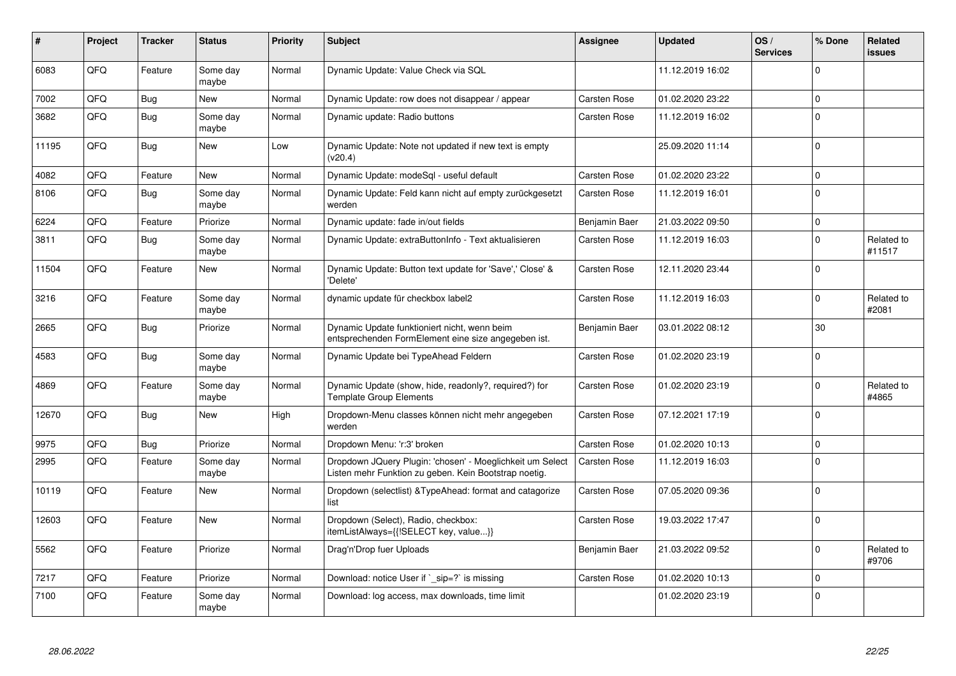| ∦     | Project | <b>Tracker</b> | <b>Status</b>     | <b>Priority</b> | <b>Subject</b>                                                                                                     | Assignee            | <b>Updated</b>   | OS/<br><b>Services</b> | % Done      | Related<br>issues    |
|-------|---------|----------------|-------------------|-----------------|--------------------------------------------------------------------------------------------------------------------|---------------------|------------------|------------------------|-------------|----------------------|
| 6083  | QFQ     | Feature        | Some day<br>maybe | Normal          | Dynamic Update: Value Check via SQL                                                                                |                     | 11.12.2019 16:02 |                        | $\Omega$    |                      |
| 7002  | QFQ     | <b>Bug</b>     | <b>New</b>        | Normal          | Dynamic Update: row does not disappear / appear                                                                    | Carsten Rose        | 01.02.2020 23:22 |                        | $\Omega$    |                      |
| 3682  | QFQ     | <b>Bug</b>     | Some day<br>maybe | Normal          | Dynamic update: Radio buttons                                                                                      | Carsten Rose        | 11.12.2019 16:02 |                        | $\Omega$    |                      |
| 11195 | QFQ     | Bug            | New               | Low             | Dynamic Update: Note not updated if new text is empty<br>(v20.4)                                                   |                     | 25.09.2020 11:14 |                        | $\mathbf 0$ |                      |
| 4082  | QFQ     | Feature        | <b>New</b>        | Normal          | Dynamic Update: modeSql - useful default                                                                           | Carsten Rose        | 01.02.2020 23:22 |                        | $\mathbf 0$ |                      |
| 8106  | QFQ     | Bug            | Some day<br>maybe | Normal          | Dynamic Update: Feld kann nicht auf empty zurückgesetzt<br>werden                                                  | <b>Carsten Rose</b> | 11.12.2019 16:01 |                        | $\Omega$    |                      |
| 6224  | QFQ     | Feature        | Priorize          | Normal          | Dynamic update: fade in/out fields                                                                                 | Benjamin Baer       | 21.03.2022 09:50 |                        | $\mathbf 0$ |                      |
| 3811  | QFQ     | <b>Bug</b>     | Some day<br>maybe | Normal          | Dynamic Update: extraButtonInfo - Text aktualisieren                                                               | Carsten Rose        | 11.12.2019 16:03 |                        | $\Omega$    | Related to<br>#11517 |
| 11504 | QFQ     | Feature        | <b>New</b>        | Normal          | Dynamic Update: Button text update for 'Save',' Close' &<br>'Delete'                                               | Carsten Rose        | 12.11.2020 23:44 |                        | $\Omega$    |                      |
| 3216  | QFQ     | Feature        | Some day<br>maybe | Normal          | dynamic update für checkbox label2                                                                                 | Carsten Rose        | 11.12.2019 16:03 |                        | $\Omega$    | Related to<br>#2081  |
| 2665  | QFQ     | Bug            | Priorize          | Normal          | Dynamic Update funktioniert nicht, wenn beim<br>entsprechenden FormElement eine size angegeben ist.                | Benjamin Baer       | 03.01.2022 08:12 |                        | 30          |                      |
| 4583  | QFQ     | Bug            | Some day<br>maybe | Normal          | Dynamic Update bei TypeAhead Feldern                                                                               | <b>Carsten Rose</b> | 01.02.2020 23:19 |                        | $\mathbf 0$ |                      |
| 4869  | QFQ     | Feature        | Some day<br>maybe | Normal          | Dynamic Update (show, hide, readonly?, required?) for<br><b>Template Group Elements</b>                            | Carsten Rose        | 01.02.2020 23:19 |                        | $\Omega$    | Related to<br>#4865  |
| 12670 | QFQ     | Bug            | <b>New</b>        | High            | Dropdown-Menu classes können nicht mehr angegeben<br>werden                                                        | Carsten Rose        | 07.12.2021 17:19 |                        | $\Omega$    |                      |
| 9975  | QFQ     | <b>Bug</b>     | Priorize          | Normal          | Dropdown Menu: 'r:3' broken                                                                                        | Carsten Rose        | 01.02.2020 10:13 |                        | $\Omega$    |                      |
| 2995  | QFQ     | Feature        | Some day<br>maybe | Normal          | Dropdown JQuery Plugin: 'chosen' - Moeglichkeit um Select<br>Listen mehr Funktion zu geben. Kein Bootstrap noetig. | Carsten Rose        | 11.12.2019 16:03 |                        | $\Omega$    |                      |
| 10119 | QFQ     | Feature        | <b>New</b>        | Normal          | Dropdown (selectlist) & Type Ahead: format and catagorize<br>list                                                  | Carsten Rose        | 07.05.2020 09:36 |                        | $\Omega$    |                      |
| 12603 | QFQ     | Feature        | <b>New</b>        | Normal          | Dropdown (Select), Radio, checkbox:<br>itemListAlways={{!SELECT key, value}}                                       | Carsten Rose        | 19.03.2022 17:47 |                        | $\Omega$    |                      |
| 5562  | QFQ     | Feature        | Priorize          | Normal          | Drag'n'Drop fuer Uploads                                                                                           | Benjamin Baer       | 21.03.2022 09:52 |                        | $\Omega$    | Related to<br>#9706  |
| 7217  | QFQ     | Feature        | Priorize          | Normal          | Download: notice User if `_sip=?` is missing                                                                       | Carsten Rose        | 01.02.2020 10:13 |                        | $\Omega$    |                      |
| 7100  | QFQ     | Feature        | Some day<br>maybe | Normal          | Download: log access, max downloads, time limit                                                                    |                     | 01.02.2020 23:19 |                        | $\Omega$    |                      |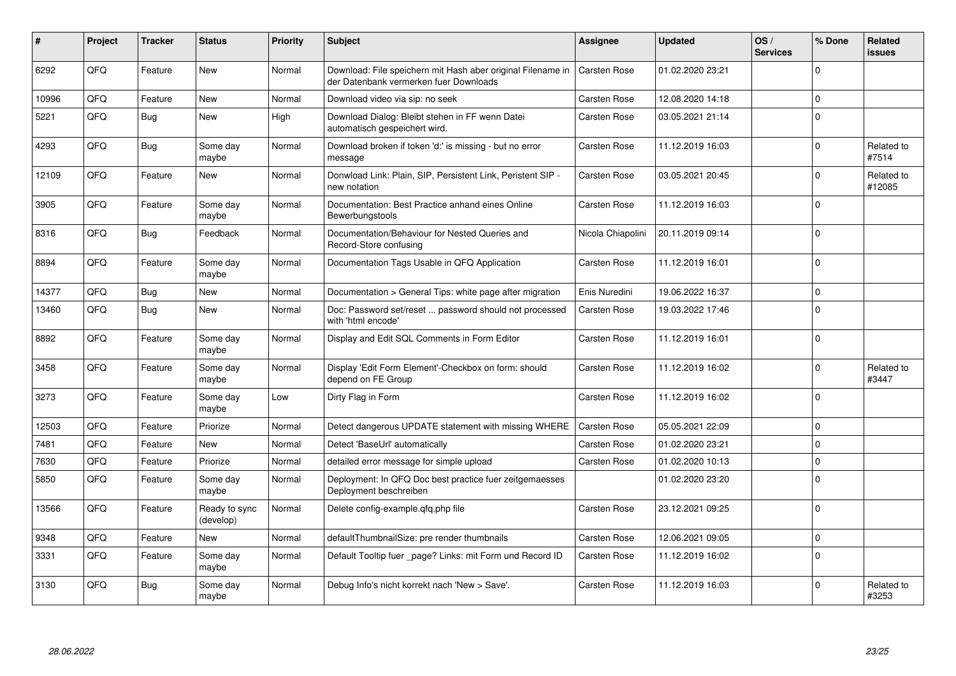| ∦     | Project | <b>Tracker</b> | <b>Status</b>              | <b>Priority</b> | <b>Subject</b>                                                                                        | <b>Assignee</b>     | <b>Updated</b>   | OS/<br><b>Services</b> | % Done      | Related<br>issues    |
|-------|---------|----------------|----------------------------|-----------------|-------------------------------------------------------------------------------------------------------|---------------------|------------------|------------------------|-------------|----------------------|
| 6292  | QFQ     | Feature        | <b>New</b>                 | Normal          | Download: File speichern mit Hash aber original Filename in<br>der Datenbank vermerken fuer Downloads | Carsten Rose        | 01.02.2020 23:21 |                        | $\Omega$    |                      |
| 10996 | QFQ     | Feature        | <b>New</b>                 | Normal          | Download video via sip: no seek                                                                       | Carsten Rose        | 12.08.2020 14:18 |                        | $\Omega$    |                      |
| 5221  | QFQ     | Bug            | <b>New</b>                 | High            | Download Dialog: Bleibt stehen in FF wenn Datei<br>automatisch gespeichert wird.                      | Carsten Rose        | 03.05.2021 21:14 |                        | $\Omega$    |                      |
| 4293  | QFQ     | Bug            | Some day<br>maybe          | Normal          | Download broken if token 'd:' is missing - but no error<br>message                                    | Carsten Rose        | 11.12.2019 16:03 |                        | $\Omega$    | Related to<br>#7514  |
| 12109 | QFQ     | Feature        | <b>New</b>                 | Normal          | Donwload Link: Plain, SIP, Persistent Link, Peristent SIP -<br>new notation                           | Carsten Rose        | 03.05.2021 20:45 |                        | $\Omega$    | Related to<br>#12085 |
| 3905  | QFQ     | Feature        | Some day<br>maybe          | Normal          | Documentation: Best Practice anhand eines Online<br>Bewerbungstools                                   | Carsten Rose        | 11.12.2019 16:03 |                        | $\Omega$    |                      |
| 8316  | QFQ     | Bug            | Feedback                   | Normal          | Documentation/Behaviour for Nested Queries and<br>Record-Store confusing                              | Nicola Chiapolini   | 20.11.2019 09:14 |                        | $\Omega$    |                      |
| 8894  | QFQ     | Feature        | Some day<br>maybe          | Normal          | Documentation Tags Usable in QFQ Application                                                          | Carsten Rose        | 11.12.2019 16:01 |                        | $\Omega$    |                      |
| 14377 | QFQ     | Bug            | <b>New</b>                 | Normal          | Documentation > General Tips: white page after migration                                              | Enis Nuredini       | 19.06.2022 16:37 |                        | $\mathbf 0$ |                      |
| 13460 | QFQ     | Bug            | New                        | Normal          | Doc: Password set/reset  password should not processed<br>with 'html encode'                          | Carsten Rose        | 19.03.2022 17:46 |                        | $\Omega$    |                      |
| 8892  | QFQ     | Feature        | Some day<br>maybe          | Normal          | Display and Edit SQL Comments in Form Editor                                                          | Carsten Rose        | 11.12.2019 16:01 |                        | $\Omega$    |                      |
| 3458  | QFQ     | Feature        | Some day<br>maybe          | Normal          | Display 'Edit Form Element'-Checkbox on form: should<br>depend on FE Group                            | Carsten Rose        | 11.12.2019 16:02 |                        | $\Omega$    | Related to<br>#3447  |
| 3273  | QFQ     | Feature        | Some day<br>maybe          | Low             | Dirty Flag in Form                                                                                    | Carsten Rose        | 11.12.2019 16:02 |                        | $\Omega$    |                      |
| 12503 | QFQ     | Feature        | Priorize                   | Normal          | Detect dangerous UPDATE statement with missing WHERE                                                  | <b>Carsten Rose</b> | 05.05.2021 22:09 |                        | $\Omega$    |                      |
| 7481  | QFQ     | Feature        | <b>New</b>                 | Normal          | Detect 'BaseUrl' automatically                                                                        | Carsten Rose        | 01.02.2020 23:21 |                        | $\Omega$    |                      |
| 7630  | QFQ     | Feature        | Priorize                   | Normal          | detailed error message for simple upload                                                              | Carsten Rose        | 01.02.2020 10:13 |                        | $\Omega$    |                      |
| 5850  | QFQ     | Feature        | Some day<br>maybe          | Normal          | Deployment: In QFQ Doc best practice fuer zeitgemaesses<br>Deployment beschreiben                     |                     | 01.02.2020 23:20 |                        | $\Omega$    |                      |
| 13566 | QFQ     | Feature        | Ready to sync<br>(develop) | Normal          | Delete config-example.qfq.php file                                                                    | Carsten Rose        | 23.12.2021 09:25 |                        | $\Omega$    |                      |
| 9348  | QFQ     | Feature        | <b>New</b>                 | Normal          | defaultThumbnailSize: pre render thumbnails                                                           | Carsten Rose        | 12.06.2021 09:05 |                        | $\Omega$    |                      |
| 3331  | QFQ     | Feature        | Some day<br>maybe          | Normal          | Default Tooltip fuer page? Links: mit Form und Record ID                                              | Carsten Rose        | 11.12.2019 16:02 |                        | $\Omega$    |                      |
| 3130  | QFQ     | Bug            | Some day<br>maybe          | Normal          | Debug Info's nicht korrekt nach 'New > Save'.                                                         | Carsten Rose        | 11.12.2019 16:03 |                        | $\Omega$    | Related to<br>#3253  |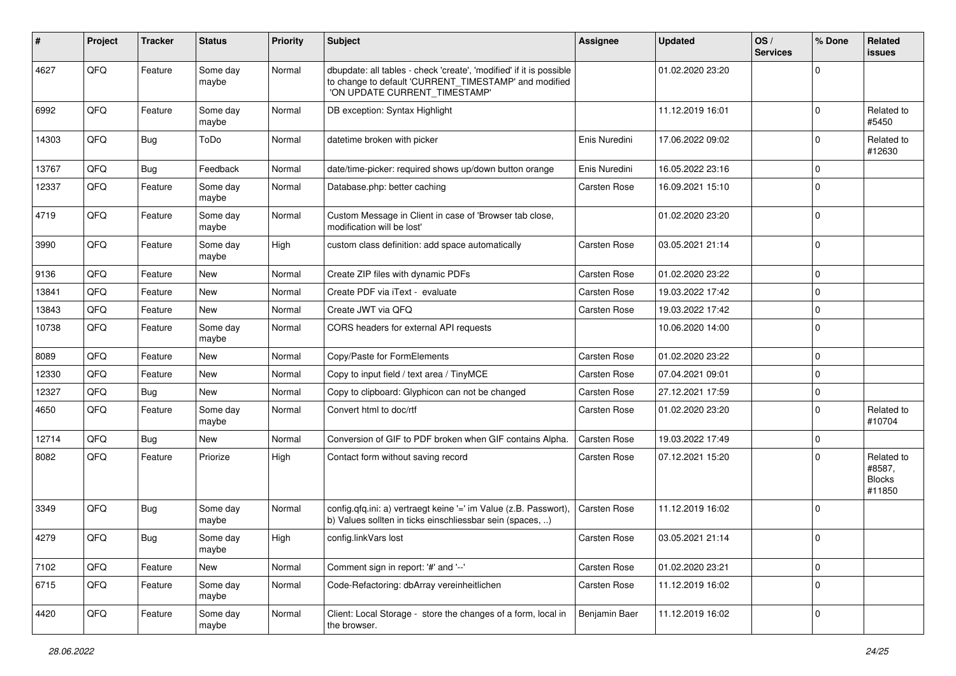| ∦     | Project | <b>Tracker</b> | <b>Status</b>     | <b>Priority</b> | Subject                                                                                                                                                       | <b>Assignee</b> | <b>Updated</b>   | OS/<br><b>Services</b> | % Done              | Related<br>issues                               |
|-------|---------|----------------|-------------------|-----------------|---------------------------------------------------------------------------------------------------------------------------------------------------------------|-----------------|------------------|------------------------|---------------------|-------------------------------------------------|
| 4627  | QFQ     | Feature        | Some day<br>maybe | Normal          | dbupdate: all tables - check 'create', 'modified' if it is possible<br>to change to default 'CURRENT_TIMESTAMP' and modified<br>'ON UPDATE CURRENT_TIMESTAMP' |                 | 01.02.2020 23:20 |                        | $\mathbf 0$         |                                                 |
| 6992  | QFQ     | Feature        | Some day<br>maybe | Normal          | DB exception: Syntax Highlight                                                                                                                                |                 | 11.12.2019 16:01 |                        | $\mathbf 0$         | Related to<br>#5450                             |
| 14303 | QFQ     | Bug            | ToDo              | Normal          | datetime broken with picker                                                                                                                                   | Enis Nuredini   | 17.06.2022 09:02 |                        | $\mathbf 0$         | Related to<br>#12630                            |
| 13767 | QFQ     | Bug            | Feedback          | Normal          | date/time-picker: required shows up/down button orange                                                                                                        | Enis Nuredini   | 16.05.2022 23:16 |                        | $\mathbf 0$         |                                                 |
| 12337 | QFQ     | Feature        | Some day<br>maybe | Normal          | Database.php: better caching                                                                                                                                  | Carsten Rose    | 16.09.2021 15:10 |                        | $\mathbf 0$         |                                                 |
| 4719  | QFQ     | Feature        | Some day<br>maybe | Normal          | Custom Message in Client in case of 'Browser tab close,<br>modification will be lost'                                                                         |                 | 01.02.2020 23:20 |                        | $\Omega$            |                                                 |
| 3990  | QFQ     | Feature        | Some day<br>maybe | High            | custom class definition: add space automatically                                                                                                              | Carsten Rose    | 03.05.2021 21:14 |                        | $\Omega$            |                                                 |
| 9136  | QFQ     | Feature        | <b>New</b>        | Normal          | Create ZIP files with dynamic PDFs                                                                                                                            | Carsten Rose    | 01.02.2020 23:22 |                        | $\mathbf 0$         |                                                 |
| 13841 | QFQ     | Feature        | <b>New</b>        | Normal          | Create PDF via iText - evaluate                                                                                                                               | Carsten Rose    | 19.03.2022 17:42 |                        | $\mathbf 0$         |                                                 |
| 13843 | QFQ     | Feature        | <b>New</b>        | Normal          | Create JWT via QFQ                                                                                                                                            | Carsten Rose    | 19.03.2022 17:42 |                        | $\mathbf 0$         |                                                 |
| 10738 | QFQ     | Feature        | Some day<br>maybe | Normal          | CORS headers for external API requests                                                                                                                        |                 | 10.06.2020 14:00 |                        | $\mathbf 0$         |                                                 |
| 8089  | QFQ     | Feature        | <b>New</b>        | Normal          | Copy/Paste for FormElements                                                                                                                                   | Carsten Rose    | 01.02.2020 23:22 |                        | $\mathbf 0$         |                                                 |
| 12330 | QFQ     | Feature        | New               | Normal          | Copy to input field / text area / TinyMCE                                                                                                                     | Carsten Rose    | 07.04.2021 09:01 |                        | $\mathbf 0$         |                                                 |
| 12327 | QFQ     | <b>Bug</b>     | New               | Normal          | Copy to clipboard: Glyphicon can not be changed                                                                                                               | Carsten Rose    | 27.12.2021 17:59 |                        | $\mathbf 0$         |                                                 |
| 4650  | QFQ     | Feature        | Some day<br>maybe | Normal          | Convert html to doc/rtf                                                                                                                                       | Carsten Rose    | 01.02.2020 23:20 |                        | $\Omega$            | Related to<br>#10704                            |
| 12714 | QFQ     | Bug            | New               | Normal          | Conversion of GIF to PDF broken when GIF contains Alpha.                                                                                                      | Carsten Rose    | 19.03.2022 17:49 |                        | $\mathbf 0$         |                                                 |
| 8082  | QFQ     | Feature        | Priorize          | High            | Contact form without saving record                                                                                                                            | Carsten Rose    | 07.12.2021 15:20 |                        | $\Omega$            | Related to<br>#8587,<br><b>Blocks</b><br>#11850 |
| 3349  | QFQ     | Bug            | Some day<br>maybe | Normal          | config.qfq.ini: a) vertraegt keine '=' im Value (z.B. Passwort),<br>b) Values sollten in ticks einschliessbar sein (spaces, )                                 | Carsten Rose    | 11.12.2019 16:02 |                        | $\Omega$            |                                                 |
| 4279  | QFQ     | Bug            | Some day<br>maybe | High            | config.linkVars lost                                                                                                                                          | Carsten Rose    | 03.05.2021 21:14 |                        | l O                 |                                                 |
| 7102  | QFQ     | Feature        | New               | Normal          | Comment sign in report: '#' and '--'                                                                                                                          | Carsten Rose    | 01.02.2020 23:21 |                        | $\mathsf{O}\xspace$ |                                                 |
| 6715  | QFQ     | Feature        | Some day<br>maybe | Normal          | Code-Refactoring: dbArray vereinheitlichen                                                                                                                    | Carsten Rose    | 11.12.2019 16:02 |                        | $\mathbf 0$         |                                                 |
| 4420  | QFQ     | Feature        | Some day<br>maybe | Normal          | Client: Local Storage - store the changes of a form, local in<br>the browser.                                                                                 | Benjamin Baer   | 11.12.2019 16:02 |                        | $\mathbf 0$         |                                                 |